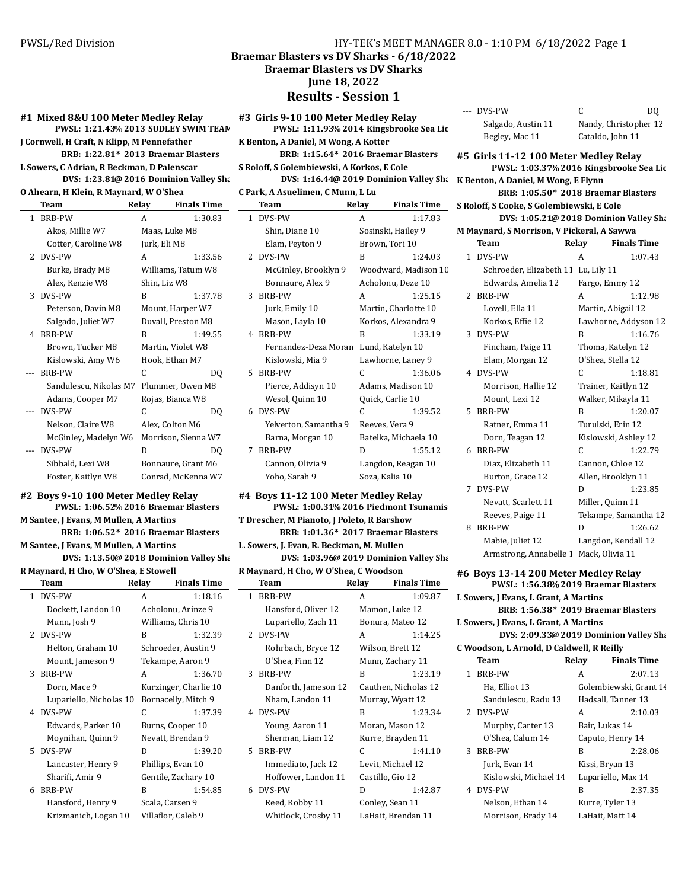#### **#1 Mixed 8&U 100 Meter Medley Relay PWSL: 1:21.43 2013 % SUDLEY SWIM TEAM J Cornwell, H Craft, N Klipp, M Pennefather**

**BRB: 1:22.81\* 2013 Braemar Blasters** 

**L Sowers, C Adrian, R Beckman, D Palenscar DVS:** 1:23.81@ 2016 Dominion Valley Sha

**O Ahearn, H Klein, R Maynard, W O'Shea**

|              | Team                   | Relay         | <b>Finals Time</b>  |
|--------------|------------------------|---------------|---------------------|
| $\mathbf{1}$ | <b>BRB-PW</b>          | A             | 1:30.83             |
|              | Akos, Millie W7        | Maas, Luke M8 |                     |
|              | Cotter, Caroline W8    | Jurk, Eli M8  |                     |
|              | 2 DVS-PW               | A             | 1:33.56             |
|              | Burke, Brady M8        |               | Williams, Tatum W8  |
|              | Alex, Kenzie W8        | Shin, Liz W8  |                     |
|              | 3 DVS-PW               | R             | 1:37.78             |
|              | Peterson, Davin M8     |               | Mount, Harper W7    |
|              | Salgado, Juliet W7     |               | Duvall, Preston M8  |
| 4            | BRB-PW                 | R             | 1:49.55             |
|              | Brown, Tucker M8       |               | Martin, Violet W8   |
|              | Kislowski, Amy W6      |               | Hook, Ethan M7      |
|              | <b>BRB-PW</b>          | C             | DQ                  |
|              | Sandulescu, Nikolas M7 |               | Plummer, Owen M8    |
|              | Adams, Cooper M7       |               | Rojas, Bianca W8    |
|              | DVS-PW                 | C             | DO                  |
|              | Nelson, Claire W8      |               | Alex, Colton M6     |
|              | McGinley, Madelyn W6   |               | Morrison, Sienna W7 |
|              | DVS-PW                 | D             | DO                  |
|              | Sibbald, Lexi W8       |               | Bonnaure, Grant M6  |
|              | Foster, Kaitlyn W8     |               | Conrad, McKenna W7  |

**#2 Boys 9-10 100 Meter Medley Relay PWSL: 1:06.52 2016 % Braemar Blasters M** Santee, J Evans, M Mullen, A Martins **BRB: 1:06.52\* 2016 Braemar Blasters** 

**M** Santee, J Evans, M Mullen, A Martins

**DVS: 1:13.50@ 2018 Dominion Valley Sharks R** Maynard, H Cho, W O'Shea, E Stowell **Team** Relay Finals Time 1 DVS-PW A 1:18.16 Dockett, Landon 10 Acholonu, Arinze 9 Munn, Josh 9 Williams, Chris 10 2 DVS-PW B 1:32.39 Helton, Graham 10 Schroeder, Austin 9 Mount, Jameson 9 Tekampe, Aaron 9 3 BRB-PW A 1:36.70 Dorn, Mace 9 Kurzinger, Charlie 10 Lupariello, Nicholas 10 Bornacelly, Mitch 9 4 DVS-PW C 1:37.39 Edwards, Parker 10 Burns, Cooper 10 Moynihan, Quinn 9 Nevatt, Brendan 9 5 DVS-PW D 1:39.20 Lancaster, Henry 9 Phillips, Evan 10 Sharifi, Amir 9 Gentile, Zachary 10 6 BRB-PW B 1:54.85 Hansford, Henry 9 Scala, Carsen 9 Krizmanich, Logan 10 Villaflor, Caleb 9

### PWSL/Red Division **HY-TEK's MEET MANAGER 8.0 - 1:10 PM 6/18/2022** Page 1 Braemar Blasters vs DV Sharks - 6/18/2022 **Braemar Blasters vs DV Sharks June 18, 2022**

**Results - Session 1** 

| #3 Girls 9-10 100 Meter Medley Relay       |       |                             | --- DVS-PW                                | C                |
|--------------------------------------------|-------|-----------------------------|-------------------------------------------|------------------|
| PWSL: 1:11.93% 2014 Kingsbrooke Sea Lid    |       |                             | Salgado, Austin 11                        | Nandy, Chri      |
| K Benton, A Daniel, M Wong, A Kotter       |       |                             | Begley, Mac 11                            | Cataldo, Joh     |
| BRB: 1:15.64* 2016 Braemar Blasters        |       |                             | #5 Girls 11-12 100 Meter Medley R         |                  |
| S Roloff, S Golembiewski, A Korkos, E Cole |       |                             | PWSL: 1:03.37% 2016 Kingsbro              |                  |
| DVS: 1:16.44@ 2019 Dominion Valley Sha     |       |                             | K Benton, A Daniel, M Wong, E Flynn       |                  |
| C Park, A Asuelimen, C Munn, L Lu          |       |                             | BRB: 1:05.50* 2018 Braemar                |                  |
| <b>Team</b>                                | Relay | <b>Finals Time</b>          | S Roloff, S Cooke, S Golembiewski, E Cole |                  |
| 1 DVS-PW                                   | A     | 1:17.83                     | DVS: 1:05.21@ 2018 Dominior               |                  |
| Shin, Diane 10                             |       | Sosinski, Hailey 9          | M Maynard, S Morrison, V Pickeral, A Saw  |                  |
| Elam, Peyton 9                             |       | Brown, Tori 10              | Team                                      | Relay<br>Fir     |
| 2 DVS-PW                                   | B     | 1:24.03                     | 1 DVS-PW                                  | A                |
| McGinley, Brooklyn 9                       |       | Woodward, Madison 10        | Schroeder, Elizabeth 11 Lu, Lily 11       |                  |
| Bonnaure, Alex 9                           |       | Acholonu, Deze 10           | Edwards, Amelia 12                        | Fargo, Emm       |
| 3 BRB-PW                                   | A     | 1:25.15                     | 2 BRB-PW                                  | A                |
| Jurk, Emily 10                             |       | Martin, Charlotte 10        | Lovell, Ella 11                           | Martin, Abig     |
| Mason, Layla 10                            |       | Korkos, Alexandra 9         | Korkos, Effie 12                          | Lawhorne,        |
| 4 BRB-PW                                   | B     | 1:33.19                     | 3 DVS-PW                                  | B                |
| Fernandez-Deza Moran Lund, Katelyn 10      |       |                             | Fincham, Paige 11                         | Thoma, Kat       |
| Kislowski, Mia 9                           |       | Lawhorne, Laney 9           | Elam, Morgan 12                           | O'Shea, Stel     |
| 5 BRB-PW                                   | C     | 1:36.06                     | 4 DVS-PW                                  | C                |
| Pierce, Addisyn 10                         |       | Adams, Madison 10           | Morrison, Hallie 12                       | Trainer, Kai     |
|                                            |       |                             |                                           |                  |
| Wesol, Quinn 10<br>6 DVS-PW                | C     | Quick, Carlie 10<br>1:39.52 | Mount, Lexi 12                            | Walker, Mik<br>B |
|                                            |       |                             | 5 BRB-PW                                  |                  |
| Yelverton, Samantha 9                      |       | Reeves, Vera 9              | Ratner, Emma 11                           | Turulski, Er     |
| Barna, Morgan 10                           |       | Batelka, Michaela 10        | Dorn, Teagan 12                           | Kislowski, A     |
| 7 BRB-PW                                   | D     | 1:55.12                     | 6 BRB-PW                                  | C                |
| Cannon, Olivia 9                           |       | Langdon, Reagan 10          | Diaz, Elizabeth 11                        | Cannon, Chl      |
| Yoho, Sarah 9                              |       | Soza, Kalia 10              | Burton, Grace 12                          | Allen, Brool     |
| #4 Boys 11-12 100 Meter Medley Relay       |       |                             | 7 DVS-PW                                  | D                |
| PWSL: 1:00.31% 2016 Piedmont Tsunamis      |       |                             | Nevatt, Scarlett 11                       | Miller, Quin     |
| T Drescher, M Pianoto, J Poleto, R Barshow |       |                             | Reeves, Paige 11                          | Tekampe, Sa      |
| BRB: 1:01.36* 2017 Braemar Blasters        |       |                             | 8 BRB-PW                                  | D                |
| L. Sowers, J. Evan, R. Beckman, M. Mullen  |       |                             | Mabie, Juliet 12                          | Langdon, Ke      |
| DVS: 1:03.96@ 2019 Dominion Valley Sha     |       |                             | Armstrong, Annabelle 1 Mack, Olivia       |                  |
| R Maynard, H Cho, W O'Shea, C Woodson      |       |                             | #6 Boys 13-14 200 Meter Medley R          |                  |
| Team                                       | Relay | <b>Finals Time</b>          | PWSL: 1:56.38% 2019 Braemar               |                  |
| 1 BRB-PW                                   | A     | 1:09.87                     | L Sowers, J Evans, L Grant, A Martins     |                  |
| Hansford, Oliver 12                        |       | Mamon, Luke 12              | BRB: 1:56.38* 2019 Braemar                |                  |
| Lupariello, Zach 11                        |       | Bonura, Mateo 12            | L Sowers, J Evans, L Grant, A Martins     |                  |
| 2 DVS-PW                                   | A     | 1:14.25                     | DVS: 2:09.33@ 2019 Dominior               |                  |
| Rohrbach, Bryce 12                         |       | Wilson, Brett 12            | C Woodson, L Arnold, D Caldwell, R Reilly |                  |
| O'Shea, Finn 12                            |       | Munn, Zachary 11            | Team                                      | Relay<br>Fir     |
| 3 BRB-PW                                   | B     | 1:23.19                     | 1 BRB-PW                                  | A                |
| Danforth, Jameson 12                       |       | Cauthen, Nicholas 12        | Ha, Elliot 13                             | Golembiew:       |
| Nham, Landon 11                            |       | Murray, Wyatt 12            | Sandulescu, Radu 13                       | Hadsall, Tar     |
| 4 DVS-PW                                   | B     | 1:23.34                     | 2 DVS-PW                                  | A                |
| Young, Aaron 11                            |       | Moran, Mason 12             | Murphy, Carter 13                         | Bair, Lukas      |
| Sherman, Liam 12                           |       | Kurre, Brayden 11           | O'Shea, Calum 14                          | Caputo, Her      |
| 5 BRB-PW                                   | C     | 1:41.10                     | 3 BRB-PW                                  | B                |
| Immediato, Jack 12                         |       | Levit, Michael 12           | Jurk, Evan 14                             | Kissi, Bryan     |
| Hoffower, Landon 11                        |       | Castillo, Gio 12            | Kislowski, Michael 14                     | Lupariello, l    |
| 6 DVS-PW                                   | D     | 1:42.87                     | 4 DVS-PW                                  | B                |

Reed, Robby 11 Conley, Sean 11 Whitlock, Crosby 11 LaHait, Brendan 11

| .10          |   | Edwards, Amelia 12                     | Fargo, Emmy 12       |         |
|--------------|---|----------------------------------------|----------------------|---------|
| :25.15       |   | 2 BRB-PW                               | A                    | 1:12.98 |
| te 10        |   | Lovell, Ella 11                        | Martin, Abigail 12   |         |
| dra 9        |   | Korkos, Effie 12                       | Lawhorne, Addyson 12 |         |
| :33.19       |   | 3 DVS-PW                               | B                    | 1:16.76 |
| $\mathbf{0}$ |   | Fincham, Paige 11                      | Thoma, Katelyn 12    |         |
| ey 9         |   | Elam, Morgan 12                        | O'Shea, Stella 12    |         |
| :36.06       |   | 4 DVS-PW                               | C                    | 1:18.81 |
| n 10         |   | Morrison, Hallie 12                    | Trainer, Kaitlyn 12  |         |
| )            |   | Mount, Lexi 12                         | Walker, Mikayla 11   |         |
| :39.52       |   | 5 BRB-PW                               | B                    | 1:20.07 |
|              |   | Ratner, Emma 11                        | Turulski, Erin 12    |         |
| ela 10       |   | Dorn, Teagan 12                        | Kislowski, Ashley 12 |         |
| :55.12       |   | 6 BRB-PW                               | C                    | 1:22.79 |
| ın 10        |   | Diaz, Elizabeth 11                     | Cannon, Chloe 12     |         |
|              |   | Burton, Grace 12                       | Allen, Brooklyn 11   |         |
| V            |   | 7 DVS-PW                               | D                    | 1:23.85 |
| unamis       |   | Nevatt, Scarlett 11                    | Miller, Quinn 11     |         |
|              |   | Reeves, Paige 11                       | Tekampe, Samantha 12 |         |
| sters        | 8 | BRB-PW                                 | D                    | 1:26.62 |
|              |   | Mabie, Juliet 12                       | Langdon, Kendall 12  |         |
| ılley Sha    |   | Armstrong, Annabelle 1 Mack, Olivia 11 |                      |         |
|              |   | #6 Boys 13-14 200 Meter Medley Relay   |                      |         |
| : Time       |   | PWSL: 1:56.38% 2019 Braemar Blasters   |                      |         |
| :09.87       |   | L Sowers, J Evans, L Grant, A Martins  |                      |         |
| 2            |   | BRB: 1:56.38* 2019 Braemar Blasters    |                      |         |
| 12           |   | L Sowers, J Evans, L Grant, A Martins  |                      |         |
| :14.25       |   | DVS: 2:09.33@ 2019 Dominion Valley Sha |                      |         |

| C Woodson, L Arnold, D Caldwell, R Reilly |                       |       |                        |  |  |  |
|-------------------------------------------|-----------------------|-------|------------------------|--|--|--|
|                                           | Team                  | Relay | <b>Finals Time</b>     |  |  |  |
| 1                                         | <b>BRB-PW</b>         | A     | 2:07.13                |  |  |  |
|                                           | Ha, Elliot 13         |       | Golembiewski, Grant 14 |  |  |  |
|                                           | Sandulescu, Radu 13   |       | Hadsall, Tanner 13     |  |  |  |
|                                           | 2 DVS-PW              | A     | 2:10.03                |  |  |  |
|                                           | Murphy, Carter 13     |       | Bair. Lukas 14         |  |  |  |
|                                           | O'Shea, Calum 14      |       | Caputo, Henry 14       |  |  |  |
|                                           | 3 BRB-PW              | R     | 2:28.06                |  |  |  |
|                                           | Jurk, Evan 14         |       | Kissi, Bryan 13        |  |  |  |
|                                           | Kislowski, Michael 14 |       | Lupariello, Max 14     |  |  |  |
|                                           | 4 DVS-PW              | R     | 2:37.35                |  |  |  |
|                                           | Nelson, Ethan 14      |       | Kurre, Tyler 13        |  |  |  |
|                                           | Morrison, Brady 14    |       | LaHait, Matt 14        |  |  |  |

--- DVS-PW C DQ Salgado, Austin 11 Nandy, Christopher 12 Begley, Mac 11 Cataldo, John 11

PWSL: 1:03.37% 2016 Kingsbrooke Sea Lio

**BRB: 1:05.50\* 2018 Braemar Blasters** 

**DVS: 1:05.21@ 2018 Dominion Valley Sharks** 

**Team** Relay Finals Time 1 DVS-PW A 1:07.43 Schroeder, Elizabeth 11 Lu, Lily 11

**#5 Girls 11-12 100 Meter Medley Relay**

**M Maynard, S Morrison, V Pickeral, A Sawwa**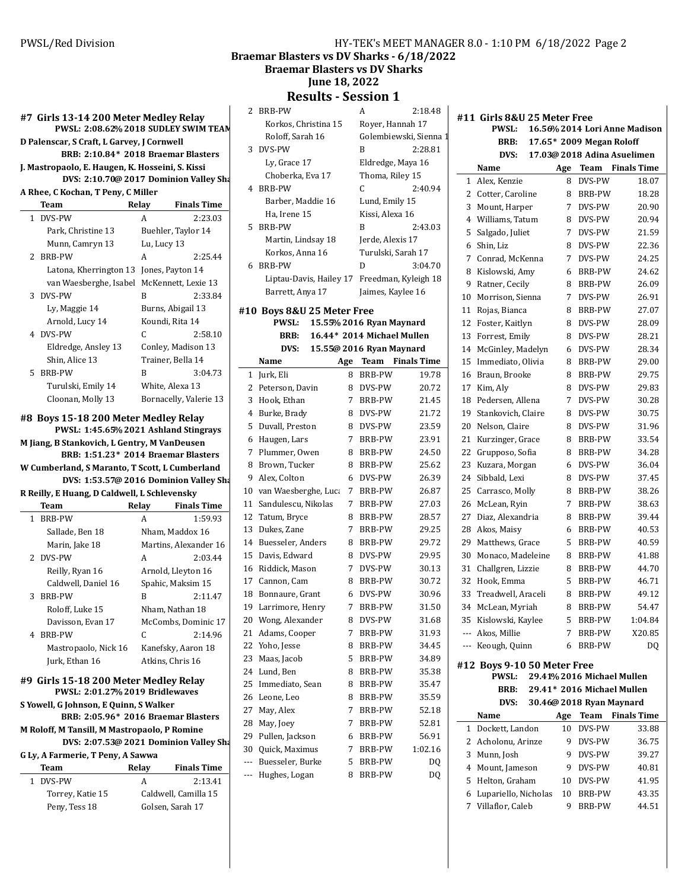Braemar Blasters vs DV Sharks - 6/18/2022

**Braemar Blasters vs DV Sharks** 

**June 18, 2022**

**Results - Session 1**

|                                                  |             |                        |     | Resuits - Əessiuli 1       |    |                            |                        |
|--------------------------------------------------|-------------|------------------------|-----|----------------------------|----|----------------------------|------------------------|
| #7 Girls 13-14 200 Meter Medley Relay            |             |                        |     | 2 BRB-PW                   |    | A                          | 2:18.48                |
| PWSL: 2:08.62% 2018 SUDLEY SWIM TEAM             |             |                        |     | Korkos, Christina 15       |    | Royer, Hannah 17           |                        |
| D Palenscar, S Craft, L Garvey, J Cornwell       |             |                        |     | Roloff, Sarah 16           |    |                            | Golembiewski, Sienna 1 |
| BRB: 2:10.84* 2018 Braemar Blasters              |             |                        |     | 3 DVS-PW                   |    | B                          | 2:28.81                |
| J. Mastropaolo, E. Haugen, K. Hosseini, S. Kissi |             |                        |     | Ly, Grace 17               |    | Eldredge, Maya 16          |                        |
| DVS: 2:10.70@ 2017 Dominion Valley Sha           |             |                        |     | Choberka, Eva 17           |    | Thoma, Riley 15            |                        |
| A Rhee, C Kochan, T Peny, C Miller               |             |                        |     | 4 BRB-PW                   |    | C                          | 2:40.94                |
| Team                                             | Relay       | <b>Finals Time</b>     |     | Barber, Maddie 16          |    | Lund, Emily 15             |                        |
| 1 DVS-PW                                         | A           | 2:23.03                |     | Ha, Irene 15               |    | Kissi, Alexa 16            |                        |
| Park, Christine 13                               |             | Buehler, Taylor 14     |     | 5 BRB-PW                   |    | B                          | 2:43.03                |
| Munn, Camryn 13                                  | Lu, Lucy 13 |                        |     | Martin, Lindsay 18         |    | Jerde, Alexis 17           |                        |
| 2 BRB-PW                                         | A           | 2:25.44                |     | Korkos, Anna 16            |    | Turulski, Sarah 17         |                        |
| Latona, Kherrington 13 Jones, Payton 14          |             |                        |     | 6 BRB-PW                   |    | D                          | 3:04.70                |
| van Waesberghe, Isabel McKennett, Lexie 13       |             |                        |     | Liptau-Davis, Hailey 17    |    |                            | Freedman, Kyleigh 18   |
| 3 DVS-PW                                         | B           | 2:33.84                |     | Barrett, Anya 17           |    | Jaimes, Kaylee 16          |                        |
|                                                  |             | Burns, Abigail 13      |     |                            |    |                            |                        |
| Ly, Maggie 14                                    |             | Koundi, Rita 14        |     | #10 Boys 8&U 25 Meter Free |    |                            |                        |
| Arnold, Lucy 14<br>4 DVS-PW                      | C.          | 2:58.10                |     | <b>PWSL:</b>               |    | 15.55% 2016 Ryan Maynard   |                        |
|                                                  |             |                        |     | <b>BRB:</b>                |    | 16.44* 2014 Michael Mullen |                        |
| Eldredge, Ansley 13                              |             | Conley, Madison 13     |     | DVS:                       |    | 15.55@ 2016 Ryan Maynard   |                        |
| Shin, Alice 13                                   |             | Trainer, Bella 14      |     | Name                       |    | Age Team Finals Time       |                        |
| 5 BRB-PW                                         | B           | 3:04.73                |     | 1 Jurk, Eli                |    | 8 BRB-PW                   | 19.78                  |
| Turulski, Emily 14                               |             | White, Alexa 13        |     | 2 Peterson, Davin          |    | 8 DVS-PW                   | 20.72                  |
| Cloonan, Molly 13                                |             | Bornacelly, Valerie 13 |     | 3 Hook. Ethan              |    | 7 BRB-PW                   | 21.45                  |
| #8 Boys 15-18 200 Meter Medley Relay             |             |                        |     | 4 Burke, Brady             |    | 8 DVS-PW                   | 21.72                  |
| PWSL: 1:45.65% 2021 Ashland Stingrays            |             |                        |     | 5 Duvall, Preston          |    | 8 DVS-PW                   | 23.59                  |
| M Jiang, B Stankovich, L Gentry, M VanDeusen     |             |                        |     | 6 Haugen, Lars             |    | 7 BRB-PW                   | 23.91                  |
| BRB: 1:51.23* 2014 Braemar Blasters              |             |                        |     | 7 Plummer, Owen            |    | 8 BRB-PW                   | 24.50                  |
| W Cumberland, S Maranto, T Scott, L Cumberland   |             |                        |     | 8 Brown, Tucker            |    | 8 BRB-PW                   | 25.62                  |
| DVS: 1:53.57@ 2016 Dominion Valley Sha           |             |                        |     | 9 Alex, Colton             |    | 6 DVS-PW                   | 26.39                  |
| R Reilly, E Huang, D Caldwell, L Schlevensky     |             |                        |     | 10 van Waesberghe, Luca    | 7  | BRB-PW                     | 26.87                  |
| Team                                             | Relay       | <b>Finals Time</b>     |     | 11 Sandulescu, Nikolas     | 7  | BRB-PW                     | 27.03                  |
| 1 BRB-PW                                         | A           | 1:59.93                |     | 12 Tatum, Bryce            | 8  | BRB-PW                     | 28.57                  |
| Sallade, Ben 18                                  |             | Nham, Maddox 16        |     | 13 Dukes, Zane             | 7  | BRB-PW                     | 29.25                  |
| Marin, Jake 18                                   |             | Martins, Alexander 16  |     | 14 Buesseler, Anders       | 8  | BRB-PW                     | 29.72                  |
| 2 DVS-PW                                         | A           | 2:03.44                |     | 15 Davis, Edward           |    | 8 DVS-PW                   | 29.95                  |
| Reilly, Ryan 16                                  |             | Arnold, Lleyton 16     |     | 16 Riddick, Mason          | 7  | DVS-PW                     | 30.13                  |
| Caldwell, Daniel 16                              |             | Spahic, Maksim 15      |     | 17 Cannon, Cam             | 8  | BRB-PW                     | 30.72                  |
| 3 BRB-PW                                         | B           | 2:11.47                |     | 18 Bonnaure, Grant         |    | 6 DVS-PW                   | 30.96                  |
| Roloff, Luke 15                                  |             | Nham, Nathan 18        |     | 19 Larrimore, Henry        | 7  | BRB-PW                     | 31.50                  |
| Davisson, Evan 17                                |             | McCombs, Dominic 17    |     | 20 Wong, Alexander         | 8  | DVS-PW                     | 31.68                  |
| 4 BRB-PW                                         | C           | 2:14.96                |     | 21 Adams, Cooper           | 7. | BRB-PW                     | 31.93                  |
| Mastropaolo, Nick 16                             |             | Kanefsky, Aaron 18     |     | 22 Yoho, Jesse             | 8  | BRB-PW                     | 34.45                  |
| Jurk, Ethan 16                                   |             | Atkins, Chris 16       |     | 23 Maas, Jacob             | 5  | BRB-PW                     | 34.89                  |
|                                                  |             |                        |     | 24 Lund, Ben               | 8  | BRB-PW                     | 35.38                  |
| #9 Girls 15-18 200 Meter Medley Relay            |             |                        |     | 25 Immediato, Sean         | 8  | BRB-PW                     | 35.47                  |
| PWSL: 2:01.27% 2019 Bridlewaves                  |             |                        |     | 26 Leone, Leo              | 8  | BRB-PW                     | 35.59                  |
| S Yowell, G Johnson, E Quinn, S Walker           |             |                        |     | 27 May, Alex               | 7  | BRB-PW                     | 52.18                  |
| BRB: 2:05.96* 2016 Braemar Blasters              |             |                        |     | 28 May, Joey               | 7  | BRB-PW                     | 52.81                  |
| M Roloff, M Tansill, M Mastropaolo, P Romine     |             |                        |     | 29 Pullen, Jackson         | 6  | BRB-PW                     | 56.91                  |
| DVS: 2:07.53@ 2021 Dominion Valley Sha           |             |                        |     | 30 Quick, Maximus          | 7  | ${\tt BRB\text{-}PW}$      | 1:02.16                |
| G Ly, A Farmerie, T Peny, A Sawwa                |             |                        | --- | Buesseler, Burke           | 5. | BRB-PW                     | DQ                     |
| Team                                             | Relay       | <b>Finals Time</b>     | --- | Hughes, Logan              | 8  | BRB-PW                     | DQ                     |
| 1 DVS-PW                                         | A           | 2:13.41                |     |                            |    |                            |                        |
| Torrey, Katie 15                                 |             | Caldwell, Camilla 15   |     |                            |    |                            |                        |
| Peny, Tess 18                                    |             | Golsen, Sarah 17       |     |                            |    |                            |                        |

| #11 Girls 8&U 25 Meter Free |                             |     |                          |                               |  |  |
|-----------------------------|-----------------------------|-----|--------------------------|-------------------------------|--|--|
|                             | <b>PWSL:</b>                |     |                          | 16.56% 2014 Lori Anne Madison |  |  |
|                             | BRB:                        |     | 17.65* 2009 Megan Roloff |                               |  |  |
|                             | DVS:                        |     |                          | 17.03@ 2018 Adina Asuelimen   |  |  |
|                             | Name                        | Age | Team                     | <b>Finals Time</b>            |  |  |
| 1                           | Alex, Kenzie                | 8   | DVS-PW                   | 18.07                         |  |  |
| 2                           | Cotter, Caroline            | 8   | <b>BRB-PW</b>            | 18.28                         |  |  |
| 3                           | Mount, Harper               | 7   | DVS-PW                   | 20.90                         |  |  |
| 4                           | Williams, Tatum             | 8   | DVS-PW                   | 20.94                         |  |  |
| 5                           | Salgado, Juliet             | 7   | DVS-PW                   | 21.59                         |  |  |
| 6                           | Shin, Liz                   | 8   | DVS-PW                   | 22.36                         |  |  |
| 7                           | Conrad, McKenna             | 7   | DVS-PW                   | 24.25                         |  |  |
| 8                           | Kislowski, Amy              | 6   | <b>BRB-PW</b>            | 24.62                         |  |  |
| 9                           | Ratner, Cecily              | 8   | <b>BRB-PW</b>            | 26.09                         |  |  |
| 10                          | Morrison, Sienna            | 7   | DVS-PW                   | 26.91                         |  |  |
| 11                          | Rojas, Bianca               | 8   | BRB-PW                   | 27.07                         |  |  |
| 12                          | Foster, Kaitlyn             | 8   | DVS-PW                   | 28.09                         |  |  |
| 13                          | Forrest, Emily              | 8   | DVS-PW                   | 28.21                         |  |  |
| 14                          | McGinley, Madelyn           | 6   | DVS-PW                   | 28.34                         |  |  |
| 15                          | Immediato, Olivia           | 8   | <b>BRB-PW</b>            | 29.00                         |  |  |
| 16                          | Braun, Brooke               | 8   | BRB-PW                   | 29.75                         |  |  |
| 17                          | Kim, Aly                    | 8   | DVS-PW                   | 29.83                         |  |  |
| 18                          | Pedersen, Allena            | 7   | DVS-PW                   | 30.28                         |  |  |
| 19                          | Stankovich, Claire          | 8   | DVS-PW                   | 30.75                         |  |  |
| 20                          | Nelson, Claire              | 8   | DVS-PW                   | 31.96                         |  |  |
| 21                          | Kurzinger, Grace            | 8   | <b>BRB-PW</b>            | 33.54                         |  |  |
| 22                          | Grupposo, Sofia             | 8   | <b>BRB-PW</b>            | 34.28                         |  |  |
| 23                          |                             |     | DVS-PW                   |                               |  |  |
|                             | Kuzara, Morgan              | 6   |                          | 36.04                         |  |  |
| 24                          | Sibbald, Lexi               | 8   | DVS-PW                   | 37.45                         |  |  |
| 25                          | Carrasco, Molly             | 8   | <b>BRB-PW</b>            | 38.26                         |  |  |
| 26                          | McLean, Ryin                | 7   | <b>BRB-PW</b>            | 38.63                         |  |  |
| 27                          | Diaz, Alexandria            | 8   | BRB-PW                   | 39.44                         |  |  |
| 28                          | Akos, Maisy                 | 6   | BRB-PW                   | 40.53                         |  |  |
| 29                          | Matthews, Grace             | 5   | BRB-PW                   | 40.59                         |  |  |
| 30                          | Monaco, Madeleine           | 8   | <b>BRB-PW</b>            | 41.88                         |  |  |
| 31                          | Challgren, Lizzie           | 8   | BRB-PW                   | 44.70                         |  |  |
| 32                          | Hook, Emma                  | 5   | <b>BRB-PW</b>            | 46.71                         |  |  |
| 33                          | Treadwell, Araceli          | 8   | <b>BRB-PW</b>            | 49.12                         |  |  |
| 34                          | McLean, Myriah              | 8   | <b>BRB-PW</b>            | 54.47                         |  |  |
|                             | 35 Kislowski, Kaylee        | 5   | <b>BRB-PW</b>            | 1:04.84                       |  |  |
| ---                         | Akos, Millie                | 7   | BRB-PW                   | X20.85                        |  |  |
| $---$                       | Keough, Quinn               | 6   | <b>BRB-PW</b>            | DQ                            |  |  |
|                             | #12 Boys 9-10 50 Meter Free |     |                          |                               |  |  |
|                             | PWSL:                       |     |                          | 29.41% 2016 Michael Mullen    |  |  |
|                             | BRB:                        |     |                          | 29.41* 2016 Michael Mullen    |  |  |
|                             | DVS:                        |     | 30.46@ 2018 Ryan Maynard |                               |  |  |
|                             | Name                        | Age | Team                     | <b>Finals Time</b>            |  |  |
| 1                           | Dockett, Landon             | 10  | DVS-PW                   | 33.88                         |  |  |
| 2                           | Acholonu, Arinze            | 9   | DVS-PW                   | 36.75                         |  |  |
| 3                           | Munn, Josh                  | 9   | DVS-PW                   | 39.27                         |  |  |
| 4                           | Mount, Jameson              | 9   | DVS-PW                   | 40.81                         |  |  |
| 5                           | Helton, Graham              | 10  | DVS-PW                   | 41.95                         |  |  |
| 6                           | Lupariello, Nicholas        | 10  | BRB-PW                   | 43.35                         |  |  |
| 7                           | Villaflor, Caleb            | 9   | BRB-PW                   | 44.51                         |  |  |
|                             |                             |     |                          |                               |  |  |

 $\overline{\phantom{a}}$ 

|    | Team                                    | Relay           | <b>Finals Time</b>     |
|----|-----------------------------------------|-----------------|------------------------|
|    | 1 DVS-PW                                | A               | 2:23.03                |
|    | Park, Christine 13                      |                 | Buehler, Taylor 14     |
|    | Munn, Camryn 13                         | Lu, Lucy 13     |                        |
|    | 2 BRB-PW                                | A               | 2:25.44                |
|    | Latona, Kherrington 13 Jones, Payton 14 |                 |                        |
|    | van Waesberghe, Isabel                  |                 | McKennett, Lexie 13    |
|    | 3 DVS-PW                                | R               | 2:33.84                |
|    | Ly, Maggie 14                           |                 | Burns, Abigail 13      |
|    | Arnold, Lucy 14                         | Koundi, Rita 14 |                        |
|    | 4 DVS-PW                                | C               | 2:58.10                |
|    | Eldredge, Ansley 13                     |                 | Conley, Madison 13     |
|    | Shin, Alice 13                          |                 | Trainer, Bella 14      |
| 5. | <b>BRB-PW</b>                           | B               | 3:04.73                |
|    | Turulski, Emily 14                      |                 | White, Alexa 13        |
|    | Cloonan, Molly 13                       |                 | Bornacelly, Valerie 13 |

|   | Team                 | Relay | <b>Finals Time</b>    |
|---|----------------------|-------|-----------------------|
| 1 | <b>BRB-PW</b>        | А     | 1:59.93               |
|   | Sallade, Ben 18      |       | Nham, Maddox 16       |
|   | Marin, Jake 18       |       | Martins, Alexander 16 |
|   | 2 DVS-PW             | A     | 2:03.44               |
|   | Reilly, Ryan 16      |       | Arnold, Lleyton 16    |
|   | Caldwell, Daniel 16  |       | Spahic, Maksim 15     |
| 3 | <b>BRB-PW</b>        | B     | 2:11.47               |
|   | Roloff, Luke 15      |       | Nham, Nathan 18       |
|   | Davisson, Evan 17    |       | McCombs, Dominic 17   |
| 4 | <b>BRB-PW</b>        | C     | 2:14.96               |
|   | Mastropaolo, Nick 16 |       | Kanefsky, Aaron 18    |
|   | Jurk, Ethan 16       |       | Atkins, Chris 16      |
|   |                      |       |                       |

### #9 Girls 15-18 200 Meter M

## **G Ly, A Farmerie, T Peny, A Sawwa**

| Team             | Relay                | <b>Finals Time</b> |  |
|------------------|----------------------|--------------------|--|
| 1 DVS-PW         | А                    | 2:13.41            |  |
| Torrey, Katie 15 | Caldwell, Camilla 15 |                    |  |
| Peny, Tess 18    | Golsen, Sarah 17     |                    |  |
|                  |                      |                    |  |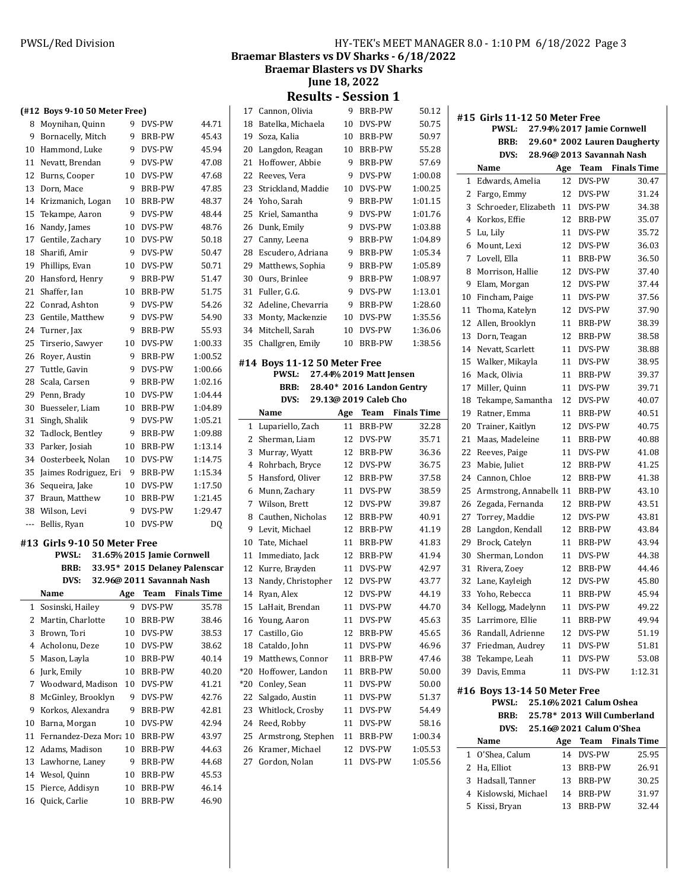Braemar Blasters vs DV Sharks -  $6/18/2022$ 

**Braemar Blasters vs DV Sharks** 

**June 18, 2022** 

**Results - Session 1** 

|     | (#12 Boys 9-10 50 Meter Free) |     |                            |                               |  |
|-----|-------------------------------|-----|----------------------------|-------------------------------|--|
| 8   | Moynihan, Quinn               | 9   | DVS-PW                     | 44.71                         |  |
| 9   | Bornacelly, Mitch             | 9   | BRB-PW                     | 45.43                         |  |
| 10  | Hammond, Luke                 | 9   | DVS-PW                     | 45.94                         |  |
| 11  | Nevatt, Brendan               | 9   | DVS-PW                     | 47.08                         |  |
| 12  | Burns, Cooper                 | 10  | DVS-PW                     | 47.68                         |  |
| 13  | Dorn, Mace                    | 9   | BRB-PW                     | 47.85                         |  |
| 14  | Krizmanich, Logan             | 10  | BRB-PW                     | 48.37                         |  |
| 15  | Tekampe, Aaron                | 9   | DVS-PW                     | 48.44                         |  |
| 16  | Nandy, James                  | 10  | DVS-PW                     | 48.76                         |  |
| 17  | Gentile, Zachary              | 10  | DVS-PW                     | 50.18                         |  |
| 18  | Sharifi, Amir                 | 9   | DVS-PW                     | 50.47                         |  |
| 19  | Phillips, Evan                | 10  | DVS-PW                     | 50.71                         |  |
| 20  | Hansford, Henry               | 9   | BRB-PW                     | 51.47                         |  |
| 21  | Shaffer, Ian                  | 10  | BRB-PW                     | 51.75                         |  |
| 22  | Conrad, Ashton                | 9   | DVS-PW                     | 54.26                         |  |
| 23  | Gentile, Matthew              | 9   | DVS-PW                     | 54.90                         |  |
| 24  | Turner, Jax                   | 9   | BRB-PW                     | 55.93                         |  |
| 25  | Tirserio, Sawyer              | 10  | DVS-PW                     | 1:00.33                       |  |
| 26  | Royer, Austin                 | 9   | BRB-PW                     | 1:00.52                       |  |
| 27  | Tuttle, Gavin                 | 9   | DVS-PW                     | 1:00.66                       |  |
| 28  | Scala, Carsen                 | 9   | <b>BRB-PW</b>              | 1:02.16                       |  |
| 29  | Penn, Brady                   | 10  | DVS-PW                     | 1:04.44                       |  |
| 30  | Buesseler, Liam               | 10  | BRB-PW                     | 1:04.89                       |  |
| 31  | Singh, Shalik                 | 9   | DVS-PW                     | 1:05.21                       |  |
| 32  | Tadlock, Bentley              | 9   | BRB-PW                     | 1:09.88                       |  |
| 33  | Parker, Josiah                | 10  | BRB-PW                     | 1:13.14                       |  |
| 34  | Oosterbeek, Nolan             | 10  | DVS-PW                     | 1:14.75                       |  |
| 35  | Jaimes Rodriguez, Eri         | 9   | <b>BRB-PW</b>              | 1:15.34                       |  |
| 36  | Sequeira, Jake                | 10  | DVS-PW                     | 1:17.50                       |  |
| 37  | Braun, Matthew                | 10  | BRB-PW                     | 1:21.45                       |  |
| 38  | Wilson, Levi                  | 9   | DVS-PW                     | 1:29.47                       |  |
| --- | Bellis, Ryan                  | 10  | DVS-PW                     | DQ                            |  |
|     | #13 Girls 9-10 50 Meter Free  |     |                            |                               |  |
|     | <b>PWSL:</b>                  |     | 31.65% 2015 Jamie Cornwell |                               |  |
|     | <b>BRB:</b>                   |     |                            | 33.95* 2015 Delaney Palenscar |  |
|     | DVS:                          |     | 32.96@ 2011 Savannah Nash  |                               |  |
|     | Name                          | Age |                            | <b>Team</b> Finals Time       |  |
| 1   | Sosinski, Hailey              |     | 9 DVS-PW                   | 35.78                         |  |
| 2   | Martin, Charlotte             | 10  | BRB-PW                     | 38.46                         |  |
| 3   | Brown, Tori                   | 10  | DVS-PW                     | 38.53                         |  |
| 4   | Acholonu, Deze                | 10  | DVS-PW                     | 38.62                         |  |
| 5   | Mason, Layla                  | 10  | BRB-PW                     | 40.14                         |  |
| 6   | Jurk, Emily                   | 10  | BRB-PW                     | 40.20                         |  |
| 7   | Woodward, Madison             | 10  | DVS-PW                     | 41.21                         |  |
| 8   | McGinley, Brooklyn            | 9   | DVS-PW                     | 42.76                         |  |
| 9   | Korkos, Alexandra             | 9   | BRB-PW                     | 42.81                         |  |
| 10  | Barna, Morgan                 | 10  | DVS-PW                     | 42.94                         |  |
| 11  | Fernandez-Deza Mora 10        |     | BRB-PW                     | 43.97                         |  |
| 12  | Adams, Madison                | 10  | BRB-PW                     | 44.63                         |  |
| 13  | Lawhorne, Laney               | 9   | BRB-PW                     | 44.68                         |  |
| 14  | Wesol, Quinn                  | 10  | BRB-PW                     | 45.53                         |  |
| 15  | Pierce, Addisyn               | 10  | BRB-PW                     | 46.14                         |  |
| 16  | Quick, Carlie                 | 10  | BRB-PW                     | 46.90                         |  |

| 17       |                                    |                  |                           |                    |
|----------|------------------------------------|------------------|---------------------------|--------------------|
|          | Cannon, Olivia                     | 9                | <b>BRB-PW</b>             | 50.12              |
| 18       | Batelka, Michaela                  | 10               | DVS-PW                    | 50.75              |
| 19       | Soza, Kalia                        | 10 <sup>10</sup> | BRB-PW                    | 50.97              |
| 20       | Langdon, Reagan                    | 10               | BRB-PW                    | 55.28              |
| 21       | Hoffower, Abbie                    | 9                | <b>BRB-PW</b>             | 57.69              |
| 22       | Reeves, Vera                       | 9                | DVS-PW                    | 1:00.08            |
| 23       | Strickland, Maddie                 | 10               | DVS-PW                    | 1:00.25            |
| 24       | Yoho, Sarah                        | 9                | <b>BRB-PW</b>             | 1:01.15            |
| 25       | Kriel, Samantha                    | 9                | DVS-PW                    | 1:01.76            |
| 26       | Dunk, Emily                        | 9                | DVS-PW                    | 1:03.88            |
| 27       | Canny, Leena                       | 9                | <b>BRB-PW</b>             | 1:04.89            |
| 28       | Escudero, Adriana                  | 9                | BRB-PW                    | 1:05.34            |
| 29       | Matthews, Sophia                   | 9                | <b>BRB-PW</b>             | 1:05.89            |
| 30       | Ours, Brinlee                      | 9                | BRB-PW                    | 1:08.97            |
| 31       | Fuller, G.G.                       | 9                | DVS-PW                    | 1:13.01            |
| 32       | Adeline, Chevarria                 | 9                | BRB-PW                    | 1:28.60            |
| 33       | Monty, Mackenzie                   | 10               | DVS-PW                    | 1:35.56            |
| 34       | Mitchell, Sarah                    | 10               | DVS-PW                    | 1:36.06            |
| 35       | Challgren, Emily                   | 10               | BRB-PW                    | 1:38.56            |
|          |                                    |                  |                           |                    |
|          | #14 Boys 11-12 50 Meter Free       |                  |                           |                    |
|          | <b>PWSL:</b>                       |                  | 27.44% 2019 Matt Jensen   |                    |
|          | BRB:                               |                  | 28.40* 2016 Landon Gentry |                    |
|          | DVS:                               |                  | 29.13@ 2019 Caleb Cho     |                    |
|          | Name                               | Age              | Team                      | <b>Finals Time</b> |
| 1        | Lupariello, Zach                   | 11               | BRB-PW                    | 32.28              |
| 2        | Sherman, Liam                      | 12               | DVS-PW                    | 35.71              |
|          |                                    |                  |                           |                    |
| 3        | Murray, Wyatt                      | 12               | BRB-PW                    | 36.36              |
| 4        | Rohrbach, Bryce                    | 12               | DVS-PW                    | 36.75              |
| 5        | Hansford, Oliver                   | 12               | BRB-PW                    | 37.58              |
| 6        | Munn, Zachary                      | 11               | DVS-PW                    | 38.59              |
| 7        | Wilson, Brett                      | 12               | DVS-PW                    | 39.87              |
| 8        | Cauthen, Nicholas                  | 12               | BRB-PW                    | 40.91              |
| 9        | Levit, Michael                     | 12               | BRB-PW                    | 41.19              |
| 10       | Tate, Michael                      | 11               | BRB-PW                    | 41.83              |
| 11       | Immediato, Jack                    | 12               | BRB-PW                    | 41.94              |
| 12       | Kurre, Brayden                     | 11               | DVS-PW                    | 42.97              |
| 13       | Nandy, Christopher                 | 12               | DVS-PW                    | 43.77              |
| 14       | Ryan, Alex                         | 12               | <b>DVS-PW</b>             | 44.19              |
|          |                                    | 11               | DVS-PW                    | 44.70              |
| 16       | 15 LaHait, Brendan<br>Young, Aaron | 11               | DVS-PW                    | 45.63              |
| 17       | Castillo, Gio                      | 12               | BRB-PW                    | 45.65              |
| 18       |                                    | 11               | DVS-PW                    | 46.96              |
| 19       | Cataldo, John<br>Matthews, Connor  | 11               | BRB-PW                    | 47.46              |
| *20      | Hoffower, Landon                   | 11               | BRB-PW                    | 50.00              |
| *20      |                                    | 11               | DVS-PW                    | 50.00              |
|          | Conley, Sean                       |                  |                           |                    |
| 22<br>23 | Salgado, Austin                    | 11<br>11         | DVS-PW<br>DVS-PW          | 51.37              |
| 24       | Whitlock, Crosby                   | 11               | DVS-PW                    | 54.49<br>58.16     |
|          | Reed, Robby                        |                  |                           |                    |
| 25       | Armstrong, Stephen                 | 11               | BRB-PW                    | 1:00.34            |
| 26<br>27 | Kramer, Michael<br>Gordon, Nolan   | 12<br>11         | DVS-PW<br>DVS-PW          | 1:05.53<br>1:05.56 |

|                | #15 Girls 11-12 50 Meter Free              |     |                           |                              |  |
|----------------|--------------------------------------------|-----|---------------------------|------------------------------|--|
|                | 27.94% 2017 Jamie Cornwell<br><b>PWSL:</b> |     |                           |                              |  |
|                | BRB:                                       |     |                           | 29.60* 2002 Lauren Daugherty |  |
|                | DVS:                                       |     | 28.96@ 2013 Savannah Nash |                              |  |
|                | Name                                       | Age | Team                      | <b>Finals Time</b>           |  |
| 1              | Edwards, Amelia                            | 12  | DVS-PW                    | 30.47                        |  |
| 2              | Fargo, Emmy                                | 12  | DVS-PW                    | 31.24                        |  |
| 3              | Schroeder, Elizabeth                       | 11  | DVS-PW                    | 34.38                        |  |
| $\overline{4}$ | Korkos. Effie                              | 12  | BRB-PW                    | 35.07                        |  |
| 5              | Lu, Lily                                   | 11  | DVS-PW                    | 35.72                        |  |
| 6              | Mount. Lexi<br>Lovell, Ella                | 12  | DVS-PW                    | 36.03                        |  |
| 7              |                                            | 11  | BRB-PW                    | 36.50                        |  |
| 8              | Morrison, Hallie                           | 12  | DVS-PW                    | 37.40                        |  |
| 9              | Elam, Morgan                               | 12  | DVS-PW                    | 37.44                        |  |
| 10             | Fincham, Paige                             | 11  | DVS-PW                    | 37.56                        |  |
| 11             | Thoma, Katelyn                             | 12  | DVS-PW                    | 37.90                        |  |
| 12             | Allen, Brooklyn                            | 11  | BRB-PW                    | 38.39                        |  |
| 13             | Dorn, Teagan                               | 12  | <b>BRB-PW</b>             | 38.58                        |  |
| 14             | Nevatt, Scarlett                           | 11  | DVS-PW                    | 38.88                        |  |
| 15             | Walker, Mikayla                            | 11  | DVS-PW                    | 38.95                        |  |
| 16             | Mack, Olivia                               | 11  | BRB-PW                    | 39.37                        |  |
| 17             | Miller, Quinn                              | 11  | DVS-PW                    | 39.71                        |  |
| 18             | Tekampe, Samantha                          | 12  | DVS-PW                    | 40.07                        |  |
| 19             | Ratner, Emma                               | 11  | BRB-PW                    | 40.51                        |  |
| 20             | Trainer, Kaitlyn                           | 12  | DVS-PW                    | 40.75                        |  |
| 21             | Maas, Madeleine                            | 11  | BRB-PW                    | 40.88                        |  |
| 22             | Reeves, Paige                              | 11  | DVS-PW                    | 41.08                        |  |
| 23             | Mabie, Juliet                              | 12  | BRB-PW                    | 41.25                        |  |
| 24             | Cannon, Chloe                              | 12  | <b>BRB-PW</b>             | 41.38                        |  |
| 25             | Armstrong, Annabelle 11                    |     | BRB-PW                    | 43.10                        |  |
| 26             | Zegada, Fernanda                           | 12  | BRB-PW                    | 43.51                        |  |
| 27             | Torrey, Maddie                             | 12  | DVS-PW                    | 43.81                        |  |
| 28             | Langdon, Kendall                           | 12  | BRB-PW                    | 43.84                        |  |
| 29             | Brock, Catelyn                             | 11  | BRB-PW                    | 43.94                        |  |
| 30             | Sherman, London                            | 11  | DVS-PW                    | 44.38                        |  |
| 31             | Rivera, Zoev                               | 12  | <b>BRB-PW</b>             | 44.46                        |  |
| 32             | Lane, Kayleigh                             | 12  | DVS-PW                    | 45.80                        |  |
| 33             | Yoho, Rebecca                              | 11  | BRB-PW                    | 45.94                        |  |
|                | 34 Kellogg, Madelynn                       | 11  | DVS-PW                    | 49.22                        |  |
| 35             | Larrimore, Ellie                           | 11  | BRB-PW                    | 49.94                        |  |
| 36             | Randall, Adrienne                          | 12  | DVS-PW                    | 51.19                        |  |
| 37             | Friedman, Audrey                           | 11  | DVS-PW                    | 51.81                        |  |
| 38             | Tekampe, Leah                              | 11  | DVS-PW                    | 53.08                        |  |
| 39             | Davis, Emma                                | 11  | DVS-PW                    | 1:12.31                      |  |
|                | #16 Boys 13-14 50 Meter Free               |     |                           |                              |  |
|                | PWSL:                                      |     | 25.16% 2021 Calum Oshea   |                              |  |
|                | BRB:                                       |     |                           | 25.78* 2013 Will Cumberland  |  |
|                | DVS:                                       |     | 25.16@ 2021 Calum O'Shea  |                              |  |
|                | Name                                       |     | Age Team                  | <b>Finals Time</b>           |  |
| 1              | O'Shea, Calum                              | 14  | DVS-PW                    | 25.95                        |  |
| 2              | Ha, Elliot                                 | 13  | BRB-PW                    | 26.91                        |  |
| 3              | Hadsall, Tanner                            | 13  | BRB-PW                    | 30.25                        |  |
| 4              | Kislowski, Michael                         | 14  | BRB-PW                    | 31.97                        |  |
| 5              | Kissi, Bryan                               | 13  | BRB-PW                    | 32.44                        |  |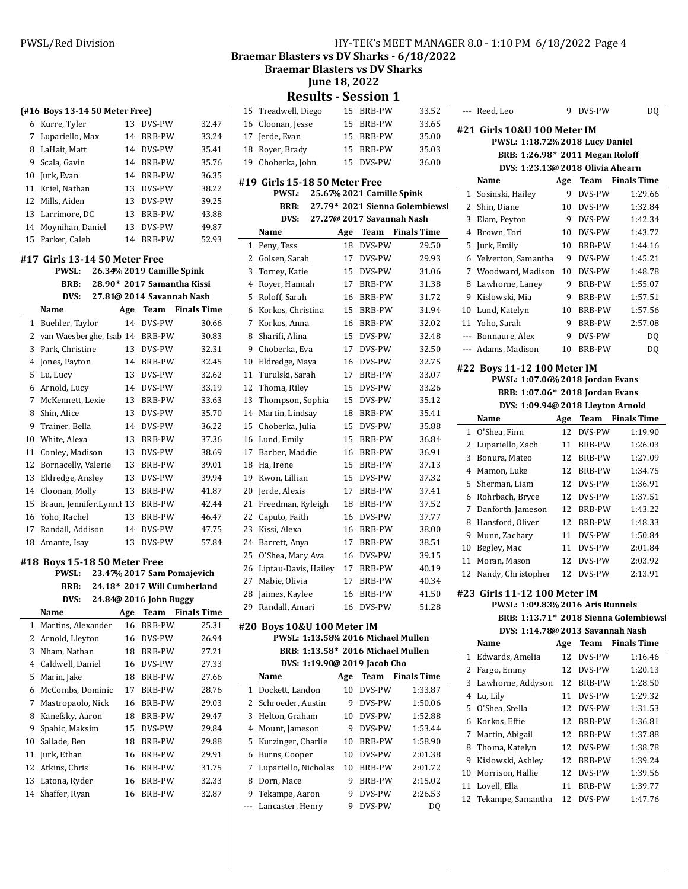**(#16 Boys 13-14 50 Meter Free)**

**#17 Girls 13-14 50 Meter Free**

**#18 Boys 15-18 50 Meter Free**

**PWSL: 23.47 2017 % Sam Pomajevich** BRB: 24.18<sup>\*</sup> 2017 Will Cumberland **DVS:** 24.84@ 2016 John Buggy **Name Age Team** Finals Time Martins, Alexander 16 BRB-PW 25.31 Arnold, Lleyton 16 DVS-PW 26.94 Nham, Nathan 18 BRB-PW 27.21 Caldwell, Daniel 16 DVS-PW 27.33 Marin, Jake 18 BRB-PW 27.66 McCombs, Dominic 17 BRB-PW 28.76 Mastropaolo, Nick 16 BRB-PW 29.03 Kanefsky, Aaron 18 BRB-PW 29.47 Spahic, Maksim 15 DVS-PW 29.84 Sallade, Ben 18 BRB-PW 29.88 Jurk, Ethan 16 BRB-PW 29.91 Atkins, Chris 16 BRB-PW 31.75 Latona, Ryder 16 BRB-PW 32.33 Shaffer, Ryan 16 BRB-PW 32.87

 Kurre, Tyler 13 DVS-PW 32.47 Lupariello, Max 14 BRB-PW 33.24 LaHait, Matt 14 DVS-PW 35.41 Scala, Gavin 14 BRB-PW 35.76 Jurk, Evan 14 BRB-PW 36.35 Kriel, Nathan 13 DVS-PW 38.22 Mills, Aiden 13 DVS-PW 39.25 Larrimore, DC 13 BRB-PW 43.88 Moynihan, Daniel 13 DVS-PW 49.87 Parker, Caleb 14 BRB-PW 52.93

**PWSL:** 26.34% 2019 Camille Spink **BRB:** 28.90\* 2017 Samantha Kissi **DVS:** 27.81@ 2014 Savannah Nash **Name Age Team Finals Time**  Buehler, Taylor 14 DVS-PW 30.66 2 van Waesberghe, Isab 14 BRB-PW 30.83 Park, Christine 13 DVS-PW 32.31 Jones, Payton 14 BRB-PW 32.45 Lu, Lucy 13 DVS-PW 32.62 Arnold, Lucy 14 DVS-PW 33.19 McKennett, Lexie 13 BRB-PW 33.63 Shin, Alice 13 DVS-PW 35.70 Trainer, Bella 14 DVS-PW 36.22 White, Alexa 13 BRB-PW 37.36 Conley, Madison 13 DVS-PW 38.69 Bornacelly, Valerie 13 BRB-PW 39.01 Eldredge, Ansley 13 DVS-PW 39.94 Cloonan, Molly 13 BRB-PW 41.87 15 Braun, Jennifer.Lynn.l 13 BRB-PW 42.44 Yoho, Rachel 13 BRB-PW 46.47 Randall, Addison 14 DVS-PW 47.75 Amante, Isay 13 DVS-PW 57.84

# PWSL/Red Division **HY-TEK's MEET MANAGER 8.0 - 1:10 PM 6/18/2022** Page 4

**Braemar Blasters vs DV Sharks - 6/18/2022** 

**Braemar Blasters vs DV Sharks** 

**June 18, 2022**

**Results - Session 1**<br> *IS* BRB-PW

| 15          | Treadwell, Diego                              | 15  | <b>BRB-PW</b>             | 33.52                          |
|-------------|-----------------------------------------------|-----|---------------------------|--------------------------------|
|             | 16 Cloonan, Jesse                             | 15  | BRB-PW                    | 33.65                          |
|             | 17 Jerde, Evan                                | 15  | BRB-PW                    | 35.00                          |
| 18          | Royer, Brady                                  | 15  | BRB-PW                    | 35.03                          |
| 19          | Choberka, John                                | 15  | DVS-PW                    | 36.00                          |
|             |                                               |     |                           |                                |
|             | #19 Girls 15-18 50 Meter Free<br><b>PWSL:</b> |     | 25.67% 2021 Camille Spink |                                |
|             | BRB:                                          |     |                           | 27.79* 2021 Sienna Golembiewsl |
|             | DVS:                                          |     |                           | 27.27@ 2017 Savannah Nash      |
|             | Name                                          | Age |                           | <b>Team</b> Finals Time        |
| $\mathbf 1$ | Peny, Tess                                    | 18  | DVS-PW                    | 29.50                          |
| 2           | Golsen, Sarah                                 | 17  | DVS-PW                    | 29.93                          |
| 3           | Torrey, Katie                                 | 15  | DVS-PW                    | 31.06                          |
| 4           | Royer, Hannah                                 | 17  | BRB-PW                    | 31.38                          |
| 5           | Roloff, Sarah                                 | 16  | BRB-PW                    | 31.72                          |
| 6           | Korkos, Christina                             | 15  | BRB-PW                    | 31.94                          |
| 7           | Korkos, Anna                                  | 16  | <b>BRB-PW</b>             | 32.02                          |
| 8           | Sharifi, Alina                                | 15  | DVS-PW                    | 32.48                          |
| 9           | Choberka, Eva                                 | 17  | DVS-PW                    | 32.50                          |
| 10          | Eldredge, Maya                                | 16  | DVS-PW                    | 32.75                          |
| 11          | Turulski, Sarah                               | 17  | BRB-PW                    | 33.07                          |
| 12          | Thoma, Riley                                  | 15  | DVS-PW                    | 33.26                          |
| 13          | Thompson, Sophia                              | 15  | DVS-PW                    | 35.12                          |
| 14          | Martin, Lindsay                               | 18  | BRB-PW                    | 35.41                          |
| 15          | Choberka, Julia                               | 15  | DVS-PW                    | 35.88                          |
|             |                                               |     |                           | 36.84                          |
| 16          | Lund, Emily                                   | 15  | BRB-PW                    |                                |
| 17          | Barber, Maddie                                | 16  | BRB-PW                    | 36.91                          |
| 18          | Ha, Irene                                     | 15  | BRB-PW                    | 37.13                          |
| 19          | Kwon, Lillian                                 | 15  | DVS-PW                    | 37.32                          |
| 20          | Jerde, Alexis                                 | 17  | BRB-PW                    | 37.41                          |
| 21          | Freedman, Kyleigh                             | 18  | BRB-PW                    | 37.52                          |
| 22          | Caputo, Faith                                 | 16  | DVS-PW                    | 37.77                          |
| 23          | Kissi, Alexa                                  | 16  | BRB-PW                    | 38.00                          |
| 24          | Barrett, Anya                                 | 17  | BRB-PW                    | 38.51                          |
| 25          | O'Shea, Mary Ava                              | 16  | DVS-PW                    | 39.15                          |
| 26          | Liptau-Davis, Hailey                          | 17  | BRB-PW                    | 40.19                          |
| 27          | Mabie, Olivia                                 | 17  | BRB-PW                    | 40.34                          |
| 28          | Jaimes, Kaylee                                | 16  | <b>BRB-PW</b>             | 41.50                          |
|             | 29 Randall, Amari                             |     | 16 DVS-PW                 | 51.28                          |
|             | #20 Boys 10&U 100 Meter IM                    |     |                           |                                |
|             | PWSL: 1:13.58% 2016 Michael Mullen            |     |                           |                                |
|             | BRB: 1:13.58* 2016 Michael Mullen             |     |                           |                                |
|             | DVS: 1:19.90@ 2019 Jacob Cho                  |     |                           |                                |
|             | Name                                          | Age | Team                      | <b>Finals Time</b>             |
| 1           | Dockett, Landon                               | 10  | DVS-PW                    | 1:33.87                        |
| 2           | Schroeder, Austin                             | 9   | DVS-PW                    | 1:50.06                        |
| 3           | Helton, Graham                                | 10  | DVS-PW                    | 1:52.88                        |
| 4           | Mount, Jameson                                | 9   | DVS-PW                    | 1:53.44                        |
| 5           | Kurzinger, Charlie                            | 10  | BRB-PW                    | 1:58.90                        |
| 6           | Burns, Cooper                                 | 10  | DVS-PW                    | 2:01.38                        |
| 7           | Lupariello, Nicholas                          | 10  | BRB-PW                    | 2:01.72                        |
| 8           | Dorn, Mace                                    | 9   | BRB-PW                    | 2:15.02                        |
| 9           | Tekampe, Aaron                                | 9   | DVS-PW                    | 2:26.53                        |
| ---         | Lancaster, Henry                              | 9   | DVS-PW                    | DQ                             |

| --- Reed, Leo                         |     | 9 DVS-PW      | DQ                      |
|---------------------------------------|-----|---------------|-------------------------|
| #21 Girls 10&U 100 Meter IM           |     |               |                         |
| PWSL: 1:18.72% 2018 Lucy Daniel       |     |               |                         |
| BRB: 1:26.98* 2011 Megan Roloff       |     |               |                         |
| DVS: 1:23.13@ 2018 Olivia Ahearn      |     |               |                         |
| Name                                  |     |               | Age Team Finals Time    |
| $\mathbf{1}$<br>Sosinski, Hailey      | 9   | DVS-PW        | 1:29.66                 |
| $\mathbf{2}$<br>Shin, Diane           | 10  | DVS-PW        | 1:32.84                 |
| 3 Elam, Peyton                        | 9   | DVS-PW        | 1:42.34                 |
| $\overline{4}$<br>Brown. Tori         | 10  | DVS-PW        | 1:43.72                 |
| 5<br>Jurk, Emily                      |     | 10 BRB-PW     | 1:44.16                 |
| 6<br>Yelverton, Samantha              |     | 9 DVS-PW      | 1:45.21                 |
| 7 Woodward, Madison                   |     | 10 DVS-PW     | 1:48.78                 |
| 8 Lawhorne, Laney                     |     | 9 BRB-PW      | 1:55.07                 |
| 9 Kislowski, Mia                      |     | 9 BRB-PW      | 1:57.51                 |
| 10 Lund, Katelyn                      |     | 10 BRB-PW     | 1:57.56                 |
| 11 Yoho, Sarah                        | 9   | BRB-PW        | 2:57.08                 |
| --- Bonnaure, Alex                    | 9   | DVS-PW        | DQ                      |
| --- Adams, Madison                    | 10  | BRB-PW        | DQ                      |
| #22 Boys 11-12 100 Meter IM           |     |               |                         |
| PWSL: 1:07.06% 2018 Jordan Evans      |     |               |                         |
| BRB: 1:07.06* 2018 Jordan Evans       |     |               |                         |
| DVS: 1:09.94@ 2018 Lleyton Arnold     |     |               |                         |
| Name                                  | Age |               | <b>Team</b> Finals Time |
| O'Shea, Finn<br>$\mathbf 1$           | 12  | DVS-PW        | 1:19.90                 |
| 2 Lupariello, Zach                    |     | 11 BRB-PW     | 1:26.03                 |
| 3<br>Bonura, Mateo                    |     | 12 BRB-PW     | 1:27.09                 |
| Mamon, Luke<br>4                      | 12  | BRB-PW        | 1:34.75                 |
| 5.<br>Sherman, Liam                   | 12  | DVS-PW        | 1:36.91                 |
| 6<br>Rohrbach, Bryce                  | 12  | DVS-PW        | 1:37.51                 |
| 7<br>Danforth, Jameson                | 12  | BRB-PW        | 1:43.22                 |
| Hansford, Oliver<br>8                 | 12  | BRB-PW        | 1:48.33                 |
| 9<br>Munn, Zachary                    | 11  | DVS-PW        | 1:50.84                 |
| 10 Begley, Mac                        | 11  | DVS-PW        | 2:01.84                 |
| 11 Moran, Mason                       | 12  | DVS-PW        | 2:03.92                 |
| 12 Nandy, Christopher                 | 12  | DVS-PW        | 2:13.91                 |
| #23 Girls 11-12 100 Meter IM          |     |               |                         |
| PWSL: 1:09.83% 2016 Aris Runnels      |     |               |                         |
| BRB: 1:13.71* 2018 Sienna Golembiewsl |     |               |                         |
| DVS: 1:14.78@ 2013 Savannah Nash      |     |               |                         |
| Name                                  | Age | Team          | <b>Finals Time</b>      |
| Edwards, Amelia<br>1                  | 12  | DVS-PW        | 1:16.46                 |
| 2<br>Fargo, Emmy                      | 12  | DVS-PW        | 1:20.13                 |
| Lawhorne, Addyson<br>3                | 12  | <b>BRB-PW</b> | 1:28.50                 |
|                                       |     |               |                         |

 Lu, Lily 11 DVS-PW 1:29.32 O'Shea, Stella 12 DVS-PW 1:31.53

| 6 Korkos, Effie     |    | 12 BRB-PW     | 1:36.81 |
|---------------------|----|---------------|---------|
| 7 Martin, Abigail   |    | 12 BRB-PW     | 1:37.88 |
| 8 Thoma, Katelyn    |    | 12 DVS-PW     | 1:38.78 |
| 9 Kislowski, Ashley |    | 12 BRB-PW     | 1:39.24 |
| 10 Morrison, Hallie |    | 12 DVS-PW     | 1:39.56 |
| 11 Lovell, Ella     | 11 | <b>BRB-PW</b> | 1:39.77 |

Tekampe, Samantha 12 DVS-PW 1:47.76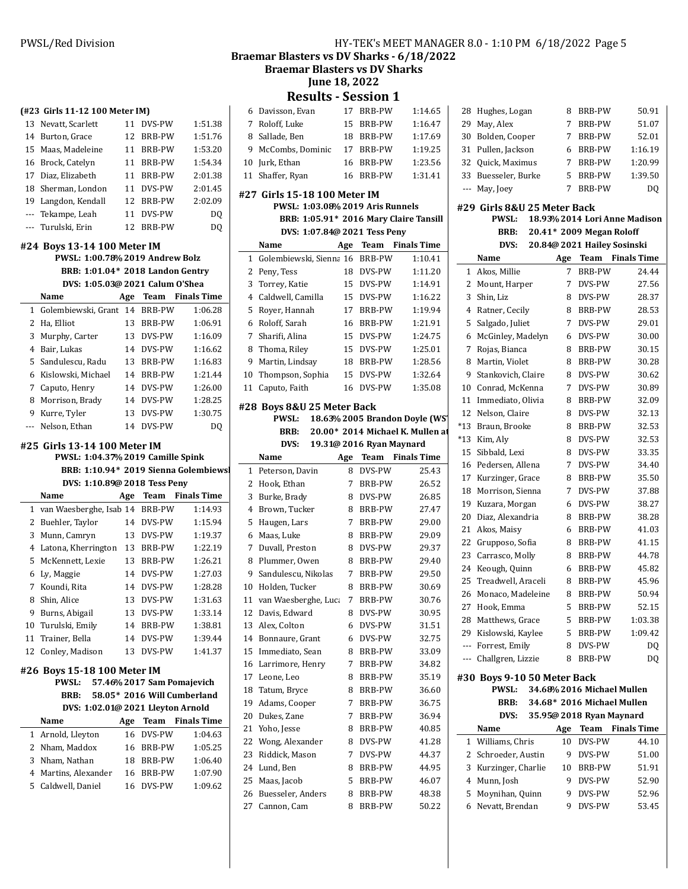**(#23 Girls 11-12 100 Meter IM)**

Nevatt, Scarlett 11 DVS-PW 1:51.38

### PWSL/Red Division **HY-TEK's MEET MANAGER 8.0 - 1:10 PM 6/18/2022** Page 5

Braemar Blasters vs DV Sharks - 6/18/2022

**Braemar Blasters vs DV Sharks** 

**June 18, 2022** 

**Results - Session 1**

|              | Results -                              |             | <b>PESSION T</b>         |                                  |       |         |
|--------------|----------------------------------------|-------------|--------------------------|----------------------------------|-------|---------|
|              | 6 Davisson, Evan                       |             | 17 BRB-PW                | 1:14.65                          | 28    | Hug     |
| 7            | Roloff, Luke                           | 15          | BRB-PW                   | 1:16.47                          | 29    | May     |
| 8            | Sallade, Ben                           |             | 18 BRB-PW                | 1:17.69                          | 30    | Bolc    |
| 9            | McCombs, Dominic                       |             | 17 BRB-PW                | 1:19.25                          | 31    | Pull    |
| 10           | Jurk, Ethan                            | 16          | BRB-PW                   | 1:23.56                          | 32    | Quic    |
|              | 11 Shaffer, Ryan                       | 16          | BRB-PW                   | 1:31.41                          | 33    | Bue:    |
|              | #27 Girls 15-18 100 Meter IM           |             |                          |                                  | ---   | May     |
|              | PWSL: 1:03.08% 2019 Aris Runnels       |             |                          |                                  |       | #29 Gir |
|              | BRB: 1:05.91* 2016 Mary Claire Tansill |             |                          |                                  |       |         |
|              | DVS: 1:07.84@ 2021 Tess Peny           |             |                          |                                  |       |         |
|              | Name                                   | Age         | Team                     | <b>Finals Time</b>               |       |         |
| 1            | Golembiewski, Sienna 16 BRB-PW         |             |                          | 1:10.41                          |       | Nan     |
| 2            | Peny, Tess                             |             | 18 DVS-PW                | 1:11.20                          | 1     | Ako:    |
| 3            | Torrey, Katie                          |             | 15 DVS-PW                | 1:14.91                          | 2     | Mou     |
| 4            | Caldwell, Camilla                      |             | 15 DVS-PW                | 1:16.22                          | 3     | Shin    |
| 5            | Royer, Hannah                          | 17          | BRB-PW                   | 1:19.94                          | 4     | Ratr    |
| 6            | Roloff, Sarah                          | 16          | BRB-PW                   | 1:21.91                          | 5     | Salg    |
| 7            | Sharifi, Alina                         | 15          | DVS-PW                   | 1:24.75                          | 6     | McG     |
| 8            | Thoma, Riley                           | 15          | DVS-PW                   | 1:25.01                          | 7     | Roja    |
| 9            | Martin, Lindsay                        | 18          | BRB-PW                   | 1:28.56                          | 8     | Mar     |
| 10           | Thompson, Sophia                       | 15          | DVS-PW                   | 1:32.64                          | 9     | Stan    |
| 11           | Caputo, Faith                          | 16          | DVS-PW                   | 1:35.08                          | 10    | Con     |
|              |                                        |             |                          |                                  | 11    | Imm     |
|              | #28 Boys 8&U 25 Meter Back             |             |                          |                                  | 12    | Nels    |
|              | <b>PWSL:</b>                           |             |                          | 18.63% 2005 Brandon Doyle (WS'   | *13   | Brau    |
|              | BRB:                                   |             |                          | 20.00* 2014 Michael K. Mullen at | *13   | Kim     |
|              | DVS:                                   |             | 19.31@ 2016 Ryan Maynard |                                  | 15    | Sibb    |
|              | Name                                   | Age         | Team                     | <b>Finals Time</b>               | 16    | Ped     |
| $\mathbf{1}$ | Peterson, Davin                        | 8           | DVS-PW                   | 25.43                            | 17    | Kurz    |
| 2            | Hook, Ethan                            | 7           | BRB-PW                   | 26.52                            | 18    | Mor     |
| 3            | Burke, Brady                           |             | 8 DVS-PW                 | 26.85                            | 19    | Kuza    |
| 4            | Brown, Tucker                          |             | 8 BRB-PW                 | 27.47                            | 20    | Diaz    |
| 5            | Haugen, Lars                           | $7^{\circ}$ | BRB-PW                   | 29.00                            | 21    | Ako:    |
| 6            | Maas, Luke                             |             | 8 BRB-PW                 | 29.09                            | 22    | Gru     |
| 7            | Duvall, Preston                        |             | 8 DVS-PW                 | 29.37                            | 23    | Carr    |
| 8            | Plummer, Owen                          |             | 8 BRB-PW                 | 29.40                            | 24    | Keo     |
| 9            | Sandulescu, Nikolas                    | 7           | BRB-PW                   | 29.50                            | 25    | Trea    |
| 10           | Holden, Tucker                         | 8           | <b>BRB-PW</b>            | 30.69                            | 26    | Mon     |
|              | 11 van Waesberghe, Luca                |             | 7 BRB-PW                 | 30.76                            | 27    | Hoo     |
| 12           | Davis, Edward                          | 8           | DVS-PW                   | 30.95                            | 28    | Mat     |
| 13           | Alex, Colton                           | 6           | DVS-PW                   | 31.51                            | 29    | Kisl    |
| 14           | Bonnaure, Grant                        | 6           | DVS-PW                   | 32.75                            | $---$ | Forr    |
| 15           | Immediato, Sean                        | 8           | BRB-PW                   | 33.09                            | ---   | Chal    |
| 16           | Larrimore, Henry                       | 7           | BRB-PW                   | 34.82                            |       |         |
| 17           | Leone, Leo                             | 8           | BRB-PW                   | 35.19                            |       | #30 Bo  |
| 18           | Tatum, Bryce                           | 8           | BRB-PW                   | 36.60                            |       |         |
| 19           | Adams, Cooper                          | 7           | BRB-PW                   | 36.75                            |       |         |
| 20           | Dukes, Zane                            | 7           | BRB-PW                   | 36.94                            |       |         |
| 21           | Yoho, Jesse                            | 8           | BRB-PW                   | 40.85                            |       | Nan     |
| 22           | Wong, Alexander                        | 8           | DVS-PW                   | 41.28                            | 1     | Will    |
| 23           | Riddick, Mason                         | 7           | DVS-PW                   | 44.37                            | 2     | Schr    |
| 24           | Lund, Ben                              | 8           | BRB-PW                   | 44.95                            | 3     | Kurz    |
| 25           | Maas, Jacob                            | 5           | BRB-PW                   | 46.07                            | 4     | Mun     |
| 26           | Buesseler, Anders                      | 8           | BRB-PW                   | 48.38                            | 5     | Moy     |
| 27           | Cannon, Cam                            | 8           | BRB-PW                   | 50.22                            | 6     | Nev     |

| 28    | Hughes, Logan               | 8   | <b>BRB-PW</b>               | 50.91                         |
|-------|-----------------------------|-----|-----------------------------|-------------------------------|
| 29    | May, Alex                   | 7   | <b>BRB-PW</b>               | 51.07                         |
| 30    | Bolden, Cooper              | 7   | <b>BRB-PW</b>               | 52.01                         |
| 31    | Pullen, Jackson             | 6   | BRB-PW                      | 1:16.19                       |
| 32    | Quick, Maximus              | 7   | BRB-PW                      | 1:20.99                       |
| 33    | Buesseler, Burke            | 5   | BRB-PW                      | 1:39.50                       |
| ---   | May, Joey                   | 7   | BRB-PW                      | DQ                            |
|       | #29 Girls 8&U 25 Meter Back |     |                             |                               |
|       | PWSL:                       |     |                             | 18.93% 2014 Lori Anne Madison |
|       | BRB:                        |     | 20.41* 2009 Megan Roloff    |                               |
|       | DVS:                        |     | 20.84@ 2021 Hailey Sosinski |                               |
|       |                             |     |                             | <b>Finals Time</b>            |
|       | Name                        | Age | Team                        |                               |
| 1     | Akos, Millie                | 7   | <b>BRB-PW</b>               | 24.44                         |
| 2     | Mount, Harper               | 7   | DVS-PW                      | 27.56                         |
| 3     | Shin, Liz                   | 8   | DVS-PW                      | 28.37                         |
| 4     | Ratner, Cecily              | 8   | <b>BRB-PW</b>               | 28.53                         |
| 5     | Salgado, Juliet             | 7   | DVS-PW                      | 29.01                         |
| 6     | McGinley, Madelyn           | 6   | DVS-PW                      | 30.00                         |
| 7     | Rojas, Bianca               | 8   | <b>BRB-PW</b>               | 30.15                         |
| 8     | Martin, Violet              | 8   | <b>BRB-PW</b>               | 30.28                         |
| 9     | Stankovich, Claire          | 8   | DVS-PW                      | 30.62                         |
| 10    | Conrad, McKenna             | 7   | DVS-PW                      | 30.89                         |
| 11    | Immediato, Olivia           | 8   | <b>BRB-PW</b>               | 32.09                         |
| 12    | Nelson, Claire              | 8   | DVS-PW                      | 32.13                         |
| *13   | Braun, Brooke               | 8   | <b>BRB-PW</b>               | 32.53                         |
| *13   | Kim, Aly                    | 8   | DVS-PW                      | 32.53                         |
| 15    | Sibbald, Lexi               | 8   | DVS-PW                      | 33.35                         |
| 16    | Pedersen, Allena            | 7   | DVS-PW                      | 34.40                         |
| 17    | Kurzinger, Grace            | 8   | <b>BRB-PW</b>               | 35.50                         |
| 18    | Morrison, Sienna            | 7   | DVS-PW                      | 37.88                         |
| 19    | Kuzara, Morgan              | 6   | DVS-PW                      | 38.27                         |
| 20    | Diaz, Alexandria            | 8   | <b>BRB-PW</b>               | 38.28                         |
| 21    | Akos, Maisy                 | 6   | <b>BRB-PW</b>               | 41.03                         |
| 22    | Grupposo, Sofia             | 8   | BRB-PW                      | 41.15                         |
| 23    | Carrasco, Molly             | 8   | BRB-PW                      | 44.78                         |
| 24    | Keough, Quinn               | 6   | <b>BRB-PW</b>               | 45.82                         |
| 25    | Treadwell, Araceli          | 8   | <b>BRB-PW</b>               | 45.96                         |
|       |                             |     |                             |                               |
| 26    | Monaco, Madeleine           | 8   | <b>BRB-PW</b>               | 50.94                         |
| 27    | Hook, Emma                  | 5   | BRB-PW                      | 52.15                         |
| 28    | Matthews, Grace             | 5   | BRB-PW                      | 1:03.38                       |
| 29    | Kislowski, Kaylee           | 5   | BRB-PW                      | 1:09.42                       |
| $---$ | Forrest, Emily              | 8   | DVS-PW                      | DQ                            |
| ---   | Challgren, Lizzie           | 8   | BRB-PW                      | DQ                            |
|       | #30 Boys 9-10 50 Meter Back |     |                             |                               |
|       | <b>PWSL:</b>                |     | 34.68% 2016 Michael Mullen  |                               |
|       | BRB:                        |     | 34.68* 2016 Michael Mullen  |                               |
|       | DVS:                        |     | 35.95@ 2018 Ryan Maynard    |                               |
|       | Name                        | Age | Team                        | <b>Finals Time</b>            |
| 1     | Williams, Chris             | 10  | DVS-PW                      | 44.10                         |
| 2     | Schroeder, Austin           | 9   | DVS-PW                      | 51.00                         |
| 3     | Kurzinger, Charlie          | 10  | BRB-PW                      | 51.91                         |
| 4     | Munn, Josh                  | 9   | DVS-PW                      | 52.90                         |
| 5     | Moynihan, Quinn             | 9   | DVS-PW                      | 52.96                         |
| 6     | Nevatt, Brendan             | 9   | DVS-PW                      | 53.45                         |
|       |                             |     |                             |                               |

 Burton, Grace 12 BRB-PW 1:51.76 Maas, Madeleine 11 BRB-PW 1:53.20 Brock, Catelyn 11 BRB-PW 1:54.34 Diaz, Elizabeth 11 BRB-PW 2:01.38 Sherman, London 11 DVS-PW 2:01.45 Langdon, Kendall 12 BRB-PW 2:02.09 --- Tekampe, Leah 11 DVS-PW DQ --- Turulski, Erin 12 BRB-PW DQ **#24 Boys 13-14 100 Meter IM PWSL: 1:00.78 2019 % Andrew Bolz BRB: 1:01.04\* 2018 Landon Gentry DVS: 1:05.03 2021 @ Calum O'Shea Name Age Team** Finals Time Golembiewski, Grant 14 BRB-PW 1:06.28 Ha, Elliot 13 BRB-PW 1:06.91

| 3 Murphy, Carter     | 13 | DVS-PW        | 1:16.09 |
|----------------------|----|---------------|---------|
| 4 Bair, Lukas        | 14 | DVS-PW        | 1:16.62 |
| 5 Sandulescu, Radu   | 13 | <b>BRB-PW</b> | 1:16.83 |
| 6 Kislowski, Michael | 14 | <b>BRB-PW</b> | 1:21.44 |
| 7 Caputo, Henry      | 14 | DVS-PW        | 1:26.00 |
| 8 Morrison, Brady    | 14 | DVS-PW        | 1:28.25 |
| 9 Kurre, Tyler       | 13 | DVS-PW        | 1:30.75 |
| --- Nelson, Ethan    | 14 | <b>DVS-PW</b> | DO      |

### **#25 Girls 13-14 100 Meter IM**

### **PWSL: 1:04.37 2019 % Camille Spink** BRB: 1:10.94\* 2019 Sienna Golembiews **DVS: 1:10.89 2018 @ Tess Peny**

|    | Name                      | Age | Team          | <b>Finals Time</b> |
|----|---------------------------|-----|---------------|--------------------|
|    | 1 van Waesberghe, Isab 14 |     | <b>BRB-PW</b> | 1:14.93            |
|    | 2 Buehler, Taylor         | 14  | DVS-PW        | 1:15.94            |
| 3  | Munn, Camryn              | 13  | DVS-PW        | 1:19.37            |
| 4  | Latona, Kherrington       | 13  | <b>BRB-PW</b> | 1:22.19            |
|    | 5 McKennett, Lexie        | 13  | <b>BRB-PW</b> | 1:26.21            |
|    | 6 Ly, Maggie              | 14  | DVS-PW        | 1:27.03            |
| 7  | Koundi, Rita              | 14  | DVS-PW        | 1:28.28            |
| 8  | Shin, Alice               | 13  | <b>DVS-PW</b> | 1:31.63            |
| 9  | Burns, Abigail            | 13  | <b>DVS-PW</b> | 1:33.14            |
|    | 10 Turulski, Emily        | 14  | <b>BRB-PW</b> | 1:38.81            |
| 11 | Trainer, Bella            | 14  | <b>DVS-PW</b> | 1:39.44            |
| 12 | Conley, Madison           | 13  | DVS-PW        | 1:41.37            |
|    |                           |     |               |                    |

### **#26 Boys 15-18 100 Meter IM**

| PWSL:             |     |               | 57.46% 2017 Sam Pomajevich        |
|-------------------|-----|---------------|-----------------------------------|
| <b>RRR:</b>       |     |               | 58.05* 2016 Will Cumberland       |
|                   |     |               | DVS: 1:02.01@ 2021 Lleyton Arnold |
| Name              | Age |               | Team Finals Time                  |
| 1 Arnold, Lleyton |     | 16 DVS-PW     | 1:04.63                           |
| 2 Nham, Maddox    | 16  | <b>BRB-PW</b> | 1:05.25                           |

| 2 Nham, Maddox       | 16 BRB-PW | 1:05.25 |
|----------------------|-----------|---------|
| 3 Nham, Nathan       | 18 BRB-PW | 1:06.40 |
| 4 Martins, Alexander | 16 BRB-PW | 1:07.90 |
| 5 Caldwell. Daniel   | 16 DVS-PW | 1:09.62 |
|                      |           |         |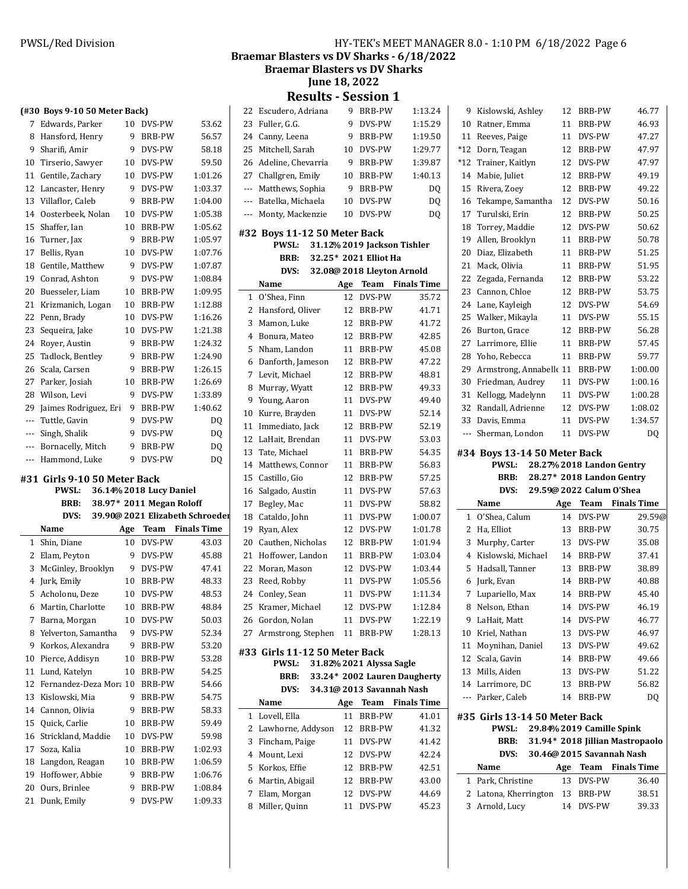### PWSL/Red Division **HY-TEK's MEET MANAGER 8.0 - 1:10 PM 6/18/2022** Page 6

Braemar Blasters vs DV Sharks - 6/18/2022

**Braemar Blasters vs DV Sharks** 

**June 18, 2022**

**Results - Session 1** 

|                | (#30 Boys 9-10 50 Meter Back)    |         |                          |                                 | 22             | Escuderc                 |
|----------------|----------------------------------|---------|--------------------------|---------------------------------|----------------|--------------------------|
| $7^{\circ}$    | Edwards, Parker                  | 10      | DVS-PW                   | 53.62                           | 23             | Fuller, G.               |
| 8              | Hansford, Henry                  | 9       | BRB-PW                   | 56.57                           | 24             | Canny, Le                |
| 9              | Sharifi, Amir                    | 9       | DVS-PW                   | 58.18                           | 25             | Mitchell,                |
| 10             | Tirserio, Sawyer                 | 10      | DVS-PW                   | 59.50                           | 26             | Adeline,                 |
| 11             | Gentile, Zachary                 | 10      | DVS-PW                   | 1:01.26                         | 27             | Challgren                |
| 12             | Lancaster, Henry                 | 9       | DVS-PW                   | 1:03.37                         | $---$          | Matthew                  |
|                | 13 Villaflor, Caleb              | 9       | BRB-PW                   | 1:04.00                         | $---$          | Batelka, I               |
|                | 14 Oosterbeek, Nolan             | 10      | DVS-PW                   | 1:05.38                         | $\overline{a}$ | Monty, M                 |
| 15             | Shaffer, Ian                     | 10      | <b>BRB-PW</b>            | 1:05.62                         |                |                          |
| 16             | Turner, Jax                      | 9       | BRB-PW                   | 1:05.97                         |                | #32 Boys 1               |
| 17             | Bellis, Ryan                     | 10      | DVS-PW                   | 1:07.76                         |                | <b>PWS</b>               |
| 18             | Gentile, Matthew                 | 9       | DVS-PW                   | 1:07.87                         |                | BRI                      |
| 19             | Conrad, Ashton                   | 9       | DVS-PW                   | 1:08.84                         |                | <b>DV</b>                |
| 20             | Buesseler, Liam                  | 10      | BRB-PW                   | 1:09.95                         |                | Name                     |
| 21             | Krizmanich, Logan                | 10      | BRB-PW                   | 1:12.88                         | $\mathbf{1}$   | O'Shea, F                |
| 22             | Penn, Brady                      | 10      | DVS-PW                   | 1:16.26                         | 2              | Hansford                 |
| 23             | Sequeira, Jake                   | 10      | DVS-PW                   | 1:21.38                         | 3              | Mamon, l                 |
| 24             | Royer, Austin                    | 9       | <b>BRB-PW</b>            | 1:24.32                         | 4              | Bonura, I                |
| 25             | Tadlock, Bentley                 | 9       | BRB-PW                   | 1:24.90                         | 5              | Nham, La                 |
| 26             | Scala, Carsen                    | 9       | BRB-PW                   | 1:26.15                         | 6              | Danforth                 |
| 27             | Parker, Josiah                   | 10      | BRB-PW                   | 1:26.69                         | 7              | Levit, Mi                |
|                | 28 Wilson, Levi                  | 9       | DVS-PW                   | 1:33.89                         | 8              | Murray, V                |
| 29             | Jaimes Rodriguez, Eri            | 9       | BRB-PW                   | 1:40.62                         | 9              | Young, Aa                |
| $\overline{a}$ | Tuttle, Gavin                    | 9       | DVS-PW                   | DQ                              | 10             | Kurre, Br                |
| ---            | Singh, Shalik                    | 9       | DVS-PW                   | DQ                              | 11             | Immedia                  |
| ---            | Bornacelly, Mitch                | 9       | BRB-PW                   | DQ                              | 12             | LaHait, B                |
|                |                                  |         |                          |                                 | 13             | Tate, Mic                |
| ---            | Hammond, Luke                    | 9       | DVS-PW                   |                                 |                |                          |
|                |                                  |         |                          | DQ                              | 14             | Matthew                  |
|                | #31 Girls 9-10 50 Meter Back     |         |                          |                                 | 15             | Castillo, 0              |
|                | <b>PWSL:</b>                     |         | 36.14% 2018 Lucy Daniel  |                                 | 16             | Salgado,                 |
|                | <b>BRB:</b>                      |         | 38.97* 2011 Megan Roloff |                                 | 17             | Begley, M                |
|                | DVS:                             |         |                          | 39.90@ 2021 Elizabeth Schroeder |                | 18 Cataldo, J            |
|                | Name                             | Age     | Team                     | <b>Finals Time</b>              | 19             | Ryan, Ale                |
|                | 1 Shin, Diane                    | 10      | DVS-PW                   | 43.03                           | 20             | Cauthen,                 |
|                | 2 Elam, Peyton                   | 9       | DVS-PW                   | 45.88                           | 21             | Hoffower                 |
| 3              | McGinley, Brooklyn               | 9       | DVS-PW                   | 47.41                           | 22             | Moran, M                 |
| 4              | Jurk, Emily                      | 10      | BRB-PW                   | 48.33                           | 23             | Reed, Rol                |
|                | 5 Acholonu, Deze                 | 10      | DVS-PW                   | 48.53                           |                | 24 Conley, S             |
| 6              | Martin, Charlotte                | 10      | <b>BRB-PW</b>            | 48.84                           | 25             | Kramer, I                |
| 7              | Barna, Morgan                    | 10      | DVS-PW                   | 50.03                           | 26             | Gordon, l                |
| 8              | Yelverton, Samantha              | 9       | DVS-PW                   | 52.34                           | 27             | Armstroi                 |
| 9              | Korkos, Alexandra                | 9       | BRB-PW                   | 53.20                           |                | #33 Girls 1              |
| 10             | Pierce, Addisyn                  | 10      | BRB-PW                   | 53.28                           |                | <b>PWS</b>               |
| 11             | Lund, Katelyn                    | 10      | BRB-PW                   | 54.25                           |                | BRI                      |
| 12             | Fernandez-Deza Mora 10           |         | BRB-PW                   | 54.66                           |                | DV                       |
| 13             | Kislowski, Mia                   | 9       | BRB-PW                   | 54.75                           |                | Name                     |
| 14             | Cannon, Olivia                   | 9       | BRB-PW                   | 58.33                           | $\mathbf{1}$   | Lovell, El               |
| 15             | Quick, Carlie                    | 10      | BRB-PW                   | 59.49                           | 2              | Lawhorn                  |
| 16             | Strickland, Maddie               | 10      | DVS-PW                   | 59.98                           | 3              | Fincham,                 |
| 17             | Soza, Kalia                      | 10      | BRB-PW                   | 1:02.93                         | 4              | Mount, L                 |
| 18             | Langdon, Reagan                  | 10<br>9 | BRB-PW                   | 1:06.59                         | 5.             | Korkos, E                |
| 19<br>20       | Hoffower, Abbie<br>Ours, Brinlee | 9       | BRB-PW<br>BRB-PW         | 1:06.76<br>1:08.84              | 6              | Martin, A                |
| 21             | Dunk, Emily                      | 9       | DVS-PW                   | 1:09.33                         | 7              | Elam, Mo<br>8 Miller, Oi |

| 22             | Escudero, Adriana                     | 9   | <b>BRB-PW</b>               | 1:13.24                      |
|----------------|---------------------------------------|-----|-----------------------------|------------------------------|
| 23             | Fuller, G.G.                          | 9   | DVS-PW                      | 1:15.29                      |
| 24             | Canny, Leena                          | 9   | BRB-PW                      | 1:19.50                      |
| 25             | Mitchell, Sarah                       | 10  | DVS-PW                      | 1:29.77                      |
| 26             | Adeline, Chevarria                    | 9   | <b>BRB-PW</b>               | 1:39.87                      |
| 27             | Challgren, Emily                      | 10  | BRB-PW                      | 1:40.13                      |
| ---            | Matthews, Sophia                      | 9   | BRB-PW                      | DQ                           |
| $---$          | Batelka, Michaela                     | 10  | DVS-PW                      | DQ                           |
| ---            | Monty, Mackenzie                      | 10  | DVS-PW                      | DQ                           |
|                |                                       |     |                             |                              |
|                | #32 Boys 11-12 50 Meter Back<br>PWSL: |     | 31.12% 2019 Jackson Tishler |                              |
|                | BRB:                                  |     | 32.25* 2021 Elliot Ha       |                              |
|                | DVS:                                  |     | 32.08@ 2018 Lleyton Arnold  |                              |
|                | Name                                  | Age | Team                        | <b>Finals Time</b>           |
| 1              | O'Shea, Finn                          | 12  | DVS-PW                      | 35.72                        |
| 2              | Hansford, Oliver                      | 12  | BRB-PW                      | 41.71                        |
| 3              | Mamon, Luke                           | 12  | BRB-PW                      | 41.72                        |
| $\overline{4}$ | Bonura, Mateo                         | 12  | <b>BRB-PW</b>               | 42.85                        |
| 5              | Nham, Landon                          | 11  | BRB-PW                      | 45.08                        |
| 6              | Danforth, Jameson                     | 12  | BRB-PW                      | 47.22                        |
| 7              | Levit, Michael                        | 12  | BRB-PW                      | 48.81                        |
| 8              | Murray, Wyatt                         | 12  | <b>BRB-PW</b>               | 49.33                        |
| 9              | Young, Aaron                          | 11  | DVS-PW                      | 49.40                        |
| 10             | Kurre, Brayden                        | 11  | DVS-PW                      | 52.14                        |
| 11             | Immediato, Jack                       | 12  | BRB-PW                      | 52.19                        |
| 12             | LaHait, Brendan                       | 11  | DVS-PW                      | 53.03                        |
| 13             | Tate, Michael                         | 11  | <b>BRB-PW</b>               | 54.35                        |
| 14             | Matthews, Connor                      | 11  | BRB-PW                      | 56.83                        |
| 15             | Castillo, Gio                         | 12  | BRB-PW                      | 57.25                        |
| 16             | Salgado, Austin                       | 11  | DVS-PW                      | 57.63                        |
| 17             | Begley, Mac                           | 11  | DVS-PW                      | 58.82                        |
| 18             | Cataldo, John                         | 11  | DVS-PW                      | 1:00.07                      |
| 19             | Ryan, Alex                            | 12  | DVS-PW                      | 1:01.78                      |
| 20             | Cauthen, Nicholas                     | 12  | BRB-PW                      | 1:01.94                      |
| 21             | Hoffower, Landon                      | 11  | <b>BRB-PW</b>               | 1:03.04                      |
| 22             | Moran, Mason                          | 12  | DVS-PW                      | 1:03.44                      |
| 23             | Reed, Robby                           | 11  | DVS-PW                      | 1:05.56                      |
| 24             | Conley, Sean                          | 11  | DVS-PW                      | 1:11.34                      |
|                | 25 Kramer, Michael                    |     | 12 DVS-PW                   | 1:12.84                      |
|                | 26 Gordon, Nolan                      | 11  | DVS-PW                      | 1:22.19                      |
|                | 27 Armstrong, Stephen                 | 11  | BRB-PW                      | 1:28.13                      |
|                | #33 Girls 11-12 50 Meter Back         |     |                             |                              |
|                | PWSL:                                 |     | 31.82% 2021 Alyssa Sagle    |                              |
|                | BRB:                                  |     |                             | 33.24* 2002 Lauren Daugherty |
|                | DVS:                                  |     | 34.31@ 2013 Savannah Nash   |                              |
|                | Name                                  | Age | Team                        | <b>Finals Time</b>           |
| 1              | Lovell, Ella                          | 11  | <b>BRB-PW</b>               | 41.01                        |
| 2              | Lawhorne, Addyson                     | 12  | BRB-PW                      | 41.32                        |
| 3              | Fincham, Paige                        | 11  | DVS-PW                      | 41.42                        |
| 4              | Mount, Lexi                           | 12  | DVS-PW                      | 42.24                        |
| 5              | Korkos, Effie                         |     | 12 BRB-PW                   | 42.51                        |
| 6              | Martin, Abigail                       | 12  | BRB-PW                      | 43.00                        |
| 7              | Elam, Morgan                          | 12  | DVS-PW                      | 44.69                        |
| 8              | Miller, Quinn                         | 11  | DVS-PW                      | 45.23                        |
|                |                                       |     |                             |                              |

| 9              | Kislowski, Ashley             | 12  | <b>BRB-PW</b>                   | 46.77   |
|----------------|-------------------------------|-----|---------------------------------|---------|
| 10             | Ratner, Emma                  | 11  | BRB-PW                          | 46.93   |
| 11             | Reeves, Paige                 | 11  | DVS-PW                          | 47.27   |
| $*12$          | Dorn, Teagan                  | 12  | <b>BRB-PW</b>                   | 47.97   |
| $*12$          | Trainer, Kaitlyn              | 12  | DVS-PW                          | 47.97   |
| 14             | Mabie, Juliet                 | 12  | <b>BRB-PW</b>                   | 49.19   |
| 15             | Rivera, Zoey                  | 12  | <b>BRB-PW</b>                   | 49.22   |
| 16             | Tekampe, Samantha             | 12  | DVS-PW                          | 50.16   |
| 17             | Turulski, Erin                | 12  | <b>BRB-PW</b>                   | 50.25   |
| 18             | Torrey, Maddie                | 12  | DVS-PW                          | 50.62   |
| 19             | Allen, Brooklyn               | 11  | <b>BRB-PW</b>                   | 50.78   |
| 20             | Diaz, Elizabeth               | 11  | BRB-PW                          | 51.25   |
| 21             | Mack, Olivia                  | 11  | <b>BRB-PW</b>                   | 51.95   |
| 22             | Zegada, Fernanda              | 12  | BRB-PW                          | 53.22   |
| 23             | Cannon, Chloe                 | 12  | BRB-PW                          | 53.75   |
| 24             | Lane, Kayleigh                | 12  | DVS-PW                          | 54.69   |
| 25             | Walker, Mikayla               | 11  | DVS-PW                          | 55.15   |
| 26             | Burton, Grace                 | 12  | <b>BRB-PW</b>                   | 56.28   |
| 27             | Larrimore, Ellie              | 11  | <b>BRB-PW</b>                   | 57.45   |
| 28             | Yoho, Rebecca                 | 11  | <b>BRB-PW</b>                   | 59.77   |
| 29             | Armstrong, Annabelle 11       |     | BRB-PW                          | 1:00.00 |
|                | Friedman, Audrey              | 11  |                                 |         |
| 30             |                               |     | DVS-PW                          | 1:00.16 |
| 31             | Kellogg, Madelynn             | 11  | DVS-PW                          | 1:00.28 |
| 32             | Randall, Adrienne             | 12  | DVS-PW                          | 1:08.02 |
| 33             | Davis, Emma                   | 11  | DVS-PW<br>DVS-PW                | 1:34.57 |
| ---            | Sherman, London               | 11  |                                 | DQ      |
|                | #34 Boys 13-14 50 Meter Back  |     |                                 |         |
|                |                               |     |                                 |         |
|                | <b>PWSL:</b>                  |     | 28.27% 2018 Landon Gentry       |         |
|                | <b>BRB:</b>                   |     | 28.27* 2018 Landon Gentry       |         |
|                | DVS:                          |     | 29.59@ 2022 Calum O'Shea        |         |
|                | Name                          | Age | <b>Team</b> Finals Time         |         |
| 1              | O'Shea, Calum                 | 14  | DVS-PW                          | 29.59@  |
| 2              | Ha, Elliot                    | 13  | BRB-PW                          | 30.75   |
| 3              | Murphy, Carter                | 13  | DVS-PW                          | 35.08   |
| $\overline{4}$ | Kislowski, Michael            | 14  | BRB-PW                          | 37.41   |
| 5              | Hadsall, Tanner               | 13  | BRB-PW                          | 38.89   |
| 6              | Jurk, Evan                    | 14  | <b>BRB-PW</b>                   | 40.88   |
| 7              | Lupariello, Max               | 14  | <b>BRB-PW</b>                   | 45.40   |
| 8              | Nelson, Ethan                 | 14  | DVS-PW                          | 46.19   |
| 9              | LaHait, Matt                  | 14  | DVS-PW                          | 46.77   |
| 10             | Kriel, Nathan                 | 13  | DVS-PW                          | 46.97   |
| 11             | Moynihan, Daniel              | 13  | DVS-PW                          | 49.62   |
| 12             | Scala, Gavin                  |     | 14 BRB-PW                       | 49.66   |
| 13             | Mills, Aiden                  | 13  | DVS-PW                          | 51.22   |
| 14             | Larrimore, DC                 | 13  | BRB-PW                          | 56.82   |
| ---            | Parker, Caleb                 | 14  | BRB-PW                          | DQ      |
|                |                               |     |                                 |         |
|                | #35 Girls 13-14 50 Meter Back |     |                                 |         |
|                | PWSL:                         |     | 29.84% 2019 Camille Spink       |         |
|                | BRB:                          |     | 31.94* 2018 Jillian Mastropaolo |         |
|                | DVS:                          |     | 30.46@ 2015 Savannah Nash       |         |
|                | Name                          | Age | <b>Team</b> Finals Time         |         |
| 1              | Park, Christine               | 13  | DVS-PW                          | 36.40   |
| 2<br>3         | Latona, Kherrington           | 14  | 13 BRB-PW<br>DVS-PW             | 38.51   |
|                | Arnold, Lucy                  |     |                                 | 39.33   |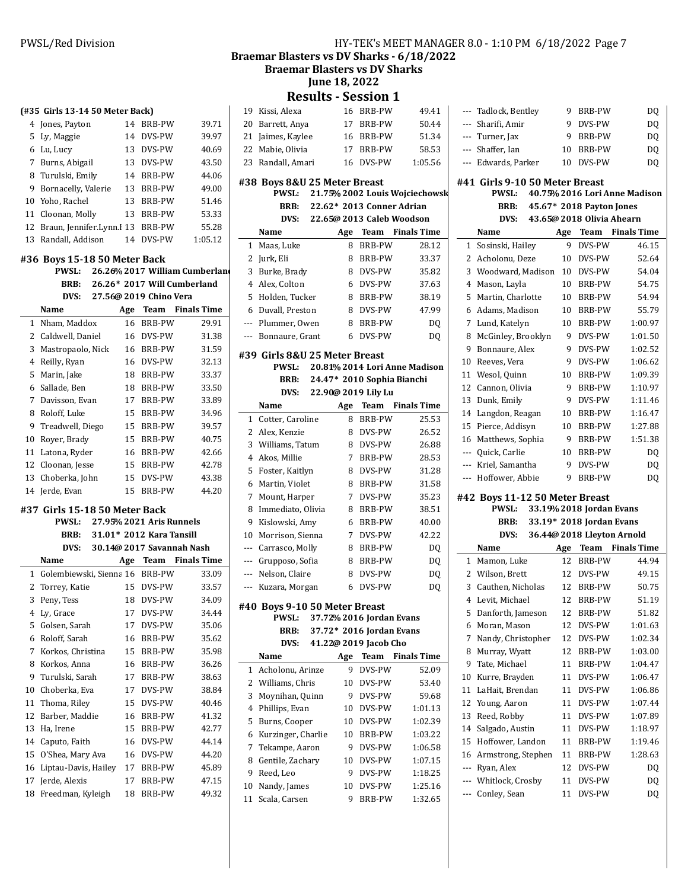Braemar Blasters vs DV Sharks - 6/18/2022

**Braemar Blasters vs DV Sharks** 

**June 18, 2022** 

**Results - Session 1**

|              | courto                             |         | JLJJIUII 1                                        |                                |              |           |
|--------------|------------------------------------|---------|---------------------------------------------------|--------------------------------|--------------|-----------|
|              | 19 Kissi, Alexa                    |         | 16 BRB-PW                                         | 49.41                          |              | Tac       |
| 20           | Barrett, Anya                      | 17      | BRB-PW                                            | 50.44                          | ---          | Sha       |
| 21           | Jaimes, Kaylee                     | 16      | BRB-PW                                            | 51.34                          | ---          | Tui       |
| 22           | Mabie, Olivia                      | 17      | BRB-PW                                            | 58.53                          | ---          | Sha       |
|              | 23 Randall, Amari                  | 16      | DVS-PW                                            | 1:05.56                        | ---          | Ed        |
|              | #38 Boys 8&U 25 Meter Breast       |         |                                                   |                                | #41 Gi       |           |
|              | <b>PWSL:</b>                       |         |                                                   | 21.75% 2002 Louis Wojciechowsk |              |           |
|              | <b>BRB:</b>                        |         | 22.62* 2013 Conner Adrian                         |                                |              |           |
|              | DVS:                               |         | 22.65@ 2013 Caleb Woodson                         |                                |              |           |
|              | Name                               | Age     |                                                   | <b>Team</b> Finals Time        |              | Na:       |
| 1            | Maas, Luke                         | 8       | BRB-PW                                            | 28.12                          | 1            | Sos       |
| 2            | Jurk, Eli                          | 8       | BRB-PW                                            | 33.37                          | $\mathbf{2}$ | Acl       |
| 3            | Burke, Brady                       | 8       | DVS-PW                                            | 35.82                          | 3            | Wo        |
| 4            | Alex, Colton                       | 6       | DVS-PW                                            | 37.63                          | 4            | Ma        |
| 5            | Holden, Tucker                     | 8       | BRB-PW                                            | 38.19                          | 5            | Ma        |
| 6            | Duvall, Preston                    | 8       | DVS-PW                                            | 47.99                          | 6            | Ad        |
| ---          | Plummer, Owen                      | 8       | BRB-PW                                            | DQ                             | 7            | Lui       |
| ---          | Bonnaure, Grant                    | 6       | DVS-PW                                            | DQ                             | 8            | Mc        |
|              |                                    |         |                                                   |                                | 9            | <b>Bo</b> |
|              | #39 Girls 8&U 25 Meter Breast      |         |                                                   |                                | 10           | Ree       |
|              | <b>PWSL:</b>                       |         |                                                   | 20.81% 2014 Lori Anne Madison  | 11           | We        |
|              | BRB:                               |         | 24.47* 2010 Sophia Bianchi<br>22.90@ 2019 Lily Lu |                                | 12           | Car       |
|              | DVS:                               |         |                                                   |                                | 13           | Du:       |
|              | Name                               | Age     | Team                                              | <b>Finals Time</b>             | 14           | Lar       |
| $\mathbf{1}$ | Cotter, Caroline                   | 8       | <b>BRB-PW</b>                                     | 25.53                          | 15           | Pie       |
| 2<br>3       | Alex, Kenzie                       | 8       | DVS-PW                                            | 26.52                          | 16           | Ma        |
|              | Williams, Tatum                    | 8       | DVS-PW                                            | 26.88                          | ---          | Qu        |
| 4            | Akos, Millie                       | 7       | BRB-PW                                            | 28.53                          | ---          | Kri       |
| 5            | Foster, Kaitlyn                    | 8       | DVS-PW                                            | 31.28                          |              | Ho        |
| 6            | Martin, Violet                     | 8       | BRB-PW                                            | 31.58                          |              |           |
| 7<br>8       | Mount, Harper<br>Immediato, Olivia | 7<br>8  | DVS-PW<br>BRB-PW                                  | 35.23<br>38.51                 | #42 Bo       |           |
| 9            | Kislowski, Amy                     | 6       | BRB-PW                                            | 40.00                          |              |           |
| 10           | Morrison, Sienna                   | 7       | DVS-PW                                            | 42.22                          |              |           |
| ---          | Carrasco, Molly                    | 8       | BRB-PW                                            | DQ                             |              | Na:       |
|              | --- Grupposo, Sofia                | 8       | <b>BRB-PW</b>                                     | DQ                             | $\mathbf{1}$ | Ma        |
| ---          | Nelson, Claire                     | 8       | DVS-PW                                            | DQ                             | $\mathbf{2}$ | Wil       |
| ---          | Kuzara, Morgan                     | 6       | DVS-PW                                            | DO.                            | 3            | Cau       |
|              |                                    |         |                                                   |                                | 4 Ley        |           |
|              | #40 Boys 9-10 50 Meter Breast      |         |                                                   |                                | 5            | Dai       |
|              | <b>PWSL:</b>                       |         | 37.72% 2016 Jordan Evans                          |                                | 6            | Mo        |
|              | BRB:                               |         | 37.72* 2016 Jordan Evans                          |                                | 7            | Nai       |
|              | DVS:                               |         | 41.22@ 2019 Jacob Cho                             |                                | 8            | Mu        |
|              | Name                               | Age     | Team                                              | <b>Finals Time</b>             | 9            | Tat       |
| 1            | Acholonu, Arinze                   | 9       | DVS-PW                                            | 52.09                          | 10           | Kui       |
| 2            | Williams, Chris                    | 10      | DVS-PW                                            | 53.40                          | 11           | Lal       |
| 3            | Moynihan, Quinn                    | 9       | DVS-PW                                            | 59.68                          | 12           | Yοι       |
| 4            | Phillips, Evan                     | 10      | DVS-PW                                            | 1:01.13                        | 13           | Ree       |
| 5            | Burns, Cooper                      | 10      | DVS-PW                                            | 1:02.39                        | 14           | Sal       |
| 6            | Kurzinger, Charlie                 | 10      | <b>BRB-PW</b>                                     | 1:03.22                        | 15           | Ho        |
| 7            | Tekampe, Aaron                     | 9       | DVS-PW                                            | 1:06.58                        | 16           | Arı       |
| 8<br>9       | Gentile, Zachary                   | 10<br>9 | DVS-PW<br>DVS-PW                                  | 1:07.15                        | ---          | Rya       |
|              | Reed, Leo                          |         |                                                   | 1:18.25                        | ---          | Wh        |
| 10<br>11     | Nandy, James<br>Scala, Carsen      | 10<br>9 | DVS-PW                                            | 1:25.16                        |              | Coı       |
|              |                                    |         | BRB-PW                                            | 1:32.65                        |              |           |

| ---    | Tadlock, Bentley                    | 9.  | BRB-PW                     | DQ                            |
|--------|-------------------------------------|-----|----------------------------|-------------------------------|
| ---    | Sharifi, Amir                       | 9   | DVS-PW                     | DQ                            |
|        | --- Turner, Jax                     | 9   | <b>BRB-PW</b>              | DQ                            |
| ---    | Shaffer, Ian                        | 10  | BRB-PW                     | DQ                            |
|        | --- Edwards, Parker                 | 10  | DVS-PW                     | DQ                            |
|        | #41 Girls 9-10 50 Meter Breast      |     |                            |                               |
|        | <b>PWSL:</b>                        |     |                            | 40.75% 2016 Lori Anne Madison |
|        | BRB:                                |     | 45.67* 2018 Payton Jones   |                               |
|        | DVS:                                |     | 43.65@ 2018 Olivia Ahearn  |                               |
|        | Name                                | Age | Team                       | <b>Finals Time</b>            |
|        |                                     | 9   | DVS-PW                     | 46.15                         |
| 1<br>2 | Sosinski, Hailey<br>Acholonu, Deze  | 10  | DVS-PW                     | 52.64                         |
| 3      | Woodward, Madison                   | 10  | DVS-PW                     | 54.04                         |
|        |                                     |     |                            |                               |
| 4      | Mason, Layla                        | 10  | BRB-PW                     | 54.75                         |
| 5      | Martin, Charlotte                   | 10  | BRB-PW                     | 54.94                         |
| 6      | Adams, Madison                      | 10  | BRB-PW                     | 55.79<br>1:00.97              |
| 7      | Lund, Katelyn                       | 10  | <b>BRB-PW</b><br>DVS-PW    |                               |
| 8      | McGinley, Brooklyn                  | 9   |                            | 1:01.50                       |
| 9      | Bonnaure, Alex                      | 9   | DVS-PW                     | 1:02.52                       |
| 10     | Reeves, Vera                        | 9   | DVS-PW                     | 1:06.62                       |
| 11     | Wesol, Quinn                        | 10  | <b>BRB-PW</b>              | 1:09.39                       |
| 12     | Cannon, Olivia                      | 9   | <b>BRB-PW</b>              | 1:10.97                       |
| 13     | Dunk, Emily                         | 9   | DVS-PW                     | 1:11.46                       |
| 14     | Langdon, Reagan                     | 10  | <b>BRB-PW</b>              | 1:16.47                       |
| 15     | Pierce, Addisyn                     | 10  | <b>BRB-PW</b>              | 1:27.88                       |
| 16     | Matthews, Sophia                    | 9   | <b>BRB-PW</b>              | 1:51.38                       |
| ---    | Quick, Carlie                       | 10  | <b>BRB-PW</b>              | DQ                            |
|        |                                     |     |                            |                               |
| ---    | Kriel, Samantha                     | 9   | DVS-PW                     | DQ                            |
| ---    | Hoffower, Abbie                     | 9   | <b>BRB-PW</b>              | DQ                            |
|        | #42 Boys 11-12 50 Meter Breast      |     |                            |                               |
|        | PWSL:                               |     | 33.19% 2018 Jordan Evans   |                               |
|        | BRB:                                |     | 33.19* 2018 Jordan Evans   |                               |
|        | DVS:                                |     | 36.44@ 2018 Lleyton Arnold |                               |
|        | Name                                | Age |                            | <b>Team</b> Finals Time       |
| 1      | Mamon, Luke                         | 12  | <b>BRB-PW</b>              | 44.94                         |
| 2      | Wilson, Brett                       | 12  | DVS-PW                     | 49.15                         |
| 3      | Cauthen, Nicholas                   | 12  | <b>BRB-PW</b>              | 50.75                         |
|        | 4 Levit, Michael                    | 12  | BRB-PW                     | 51.19                         |
| 5      | Danforth, Jameson                   | 12  | BRB-PW                     | 51.82                         |
| 6      | Moran, Mason                        | 12  | DVS-PW                     | 1:01.63                       |
| 7      | Nandy, Christopher                  | 12  | DVS-PW                     | 1:02.34                       |
| 8      |                                     | 12  | BRB-PW                     | 1:03.00                       |
| 9      | Murray, Wyatt<br>Tate, Michael      | 11  | BRB-PW                     | 1:04.47                       |
| 10     |                                     | 11  | DVS-PW                     | 1:06.47                       |
| 11     | Kurre, Brayden<br>LaHait, Brendan   | 11  | DVS-PW                     | 1:06.86                       |
| 12     | Young, Aaron                        | 11  | DVS-PW                     | 1:07.44                       |
| 13     |                                     | 11  | DVS-PW                     | 1:07.89                       |
| 14     | Reed, Robby                         | 11  | DVS-PW                     | 1:18.97                       |
| 15     | Salgado, Austin<br>Hoffower, Landon | 11  | BRB-PW                     | 1:19.46                       |
| 16     | Armstrong, Stephen                  | 11  | BRB-PW                     | 1:28.63                       |
| ---    | Ryan, Alex                          | 12  | DVS-PW                     |                               |
| ---    |                                     | 11  | DVS-PW                     | DQ                            |
| ---    | Whitlock, Crosby<br>Conley, Sean    | 11  | DVS-PW                     | DQ<br>DQ                      |

## **(#35 Girls 13-14 50 Meter Back)** Jones, Payton 14 BRB-PW 39.71 Ly, Maggie 14 DVS-PW 39.97 Lu, Lucy 13 DVS-PW 40.69 Burns, Abigail 13 DVS-PW 43.50 Turulski, Emily 14 BRB-PW 44.06 Bornacelly, Valerie 13 BRB-PW 49.00 Yoho, Rachel 13 BRB-PW 51.46 Cloonan, Molly 13 BRB-PW 53.33 12 Braun, Jennifer.Lynn.I 13 BRB-PW 55.28 Randall, Addison 14 DVS-PW 1:05.12 **#36 Boys 15-18 50 Meter Back** PWSL: 26.26% 2017 William Cumberland **BRB:** 26.26\* 2017 Will Cumberland **DVS: 27.56 2019 @ Chino Vera Name Age Team** Finals Time Nham, Maddox 16 BRB-PW 29.91 Caldwell, Daniel 16 DVS-PW 31.38 Mastropaolo, Nick 16 BRB-PW 31.59 Reilly, Ryan 16 DVS-PW 32.13 Marin, Jake 18 BRB-PW 33.37 Sallade, Ben 18 BRB-PW 33.50

| 7 Davisson, Evan   |    | 17 BRB-PW     | 33.89 |
|--------------------|----|---------------|-------|
| 8 Roloff, Luke     |    | 15 BRB-PW     | 34.96 |
| 9 Treadwell, Diego |    | 15 BRB-PW     | 39.57 |
| 10 Rover, Brady    |    | 15 BRB-PW     | 40.75 |
| 11 Latona, Ryder   |    | 16 BRB-PW     | 42.66 |
| 12 Cloonan, Jesse  |    | 15 BRB-PW     | 42.78 |
| 13 Choberka, John  |    | 15 DVS-PW     | 43.38 |
| 14 Jerde, Evan     | 15 | <b>BRB-PW</b> | 44.20 |

### **#37 Girls 15-18 50 Meter Back**

|    | <b>PWSL:</b>            |     | 27.95% 2021 Aris Runnels  |                    |
|----|-------------------------|-----|---------------------------|--------------------|
|    | BRB:                    |     | 31.01* 2012 Kara Tansill  |                    |
|    | DVS:                    |     | 30.14@ 2017 Savannah Nash |                    |
|    | Name                    | Age | Team                      | <b>Finals Time</b> |
| 1  | Golembiewski, Sienna 16 |     | BRB-PW                    | 33.09              |
| 2  | Torrey, Katie           | 15  | DVS-PW                    | 33.57              |
| 3  | Peny, Tess              | 18  | DVS-PW                    | 34.09              |
| 4  | Ly, Grace               | 17  | DVS-PW                    | 34.44              |
| 5  | Golsen, Sarah           | 17  | DVS-PW                    | 35.06              |
| 6  | Roloff, Sarah           | 16  | BRB-PW                    | 35.62              |
| 7  | Korkos, Christina       | 15  | BRB-PW                    | 35.98              |
| 8  | Korkos, Anna            | 16  | BRB-PW                    | 36.26              |
| 9  | Turulski, Sarah         | 17  | BRB-PW                    | 38.63              |
| 10 | Choberka, Eva           | 17  | DVS-PW                    | 38.84              |
| 11 | Thoma, Riley            | 15  | DVS-PW                    | 40.46              |
| 12 | Barber, Maddie          | 16  | BRB-PW                    | 41.32              |
| 13 | Ha, Irene               | 15  | BRB-PW                    | 42.77              |
| 14 | Caputo, Faith           | 16  | DVS-PW                    | 44.14              |
| 15 | O'Shea, Mary Ava        | 16  | DVS-PW                    | 44.20              |
| 16 | Liptau-Davis, Hailey    | 17  | BRB-PW                    | 45.89              |
| 17 | Jerde, Alexis           | 17  | <b>BRB-PW</b>             | 47.15              |
| 18 | Freedman, Kyleigh       | 18  | <b>BRB-PW</b>             | 49.32              |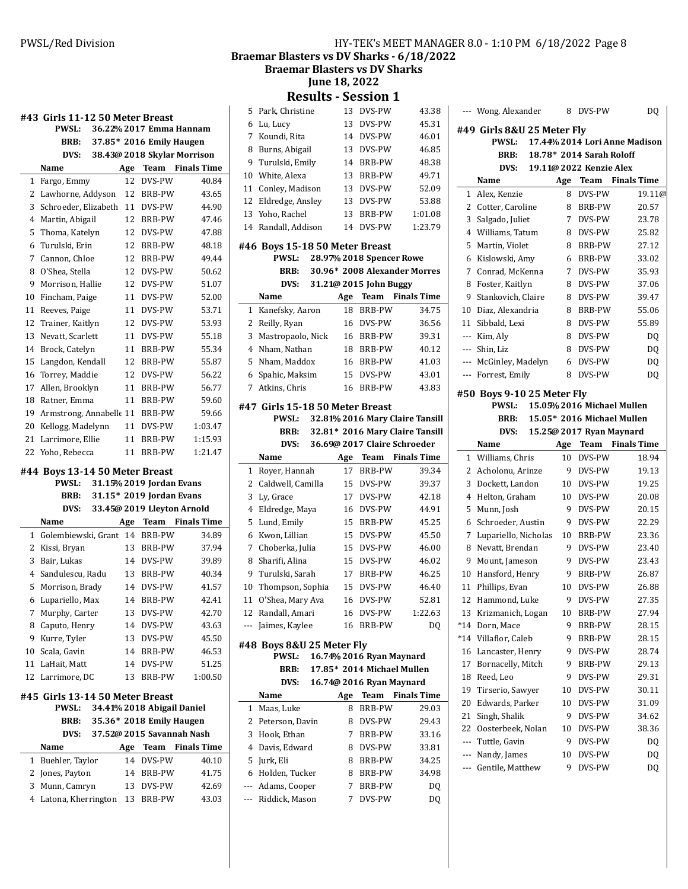**Braemar Blasters vs DV Sharks - 6/18/2022** 

**Braemar Blasters vs DV Sharks** 

**June 18, 2022**

**Results - Session 1**

|        | #43 Girls 11-12 50 Meter Breast                 |          |                                                      |                             | ξ                                                                                                 |
|--------|-------------------------------------------------|----------|------------------------------------------------------|-----------------------------|---------------------------------------------------------------------------------------------------|
|        | <b>PWSL:</b>                                    |          |                                                      | 36.22% 2017 Emma Hannam     | t                                                                                                 |
|        | BRB:                                            |          | 37.85* 2016 Emily Haugen                             |                             | 7                                                                                                 |
|        | DVS:                                            |          |                                                      | 38.43@ 2018 Skylar Morrison | ξ                                                                                                 |
|        | Name                                            | Age      |                                                      | <b>Team</b> Finals Time     | Ċ                                                                                                 |
| 1      | Fargo, Emmy                                     | 12       | DVS-PW                                               | 40.84                       | $\mathbf{1}$                                                                                      |
| 2      | Lawhorne, Addyson                               | 12       | BRB-PW                                               | 43.65                       | 11                                                                                                |
| 3      | Schroeder, Elizabeth                            | 11       | DVS-PW                                               | 44.90                       | 12                                                                                                |
| 4      | Martin, Abigail                                 | 12       | <b>BRB-PW</b>                                        | 47.46                       | 13                                                                                                |
| 5      | Thoma, Katelyn                                  | 12       | DVS-PW                                               | 47.88                       | 14                                                                                                |
| 6      | Turulski, Erin                                  | 12       | <b>BRB-PW</b>                                        | 48.18                       | #4                                                                                                |
| 7      | Cannon, Chloe                                   | 12       | <b>BRB-PW</b>                                        | 49.44                       |                                                                                                   |
| 8      | O'Shea, Stella                                  | 12       | DVS-PW                                               | 50.62                       |                                                                                                   |
| 9      | Morrison, Hallie                                | 12       | DVS-PW                                               | 51.07                       |                                                                                                   |
| 10     | Fincham, Paige                                  | 11       | DVS-PW                                               | 52.00                       |                                                                                                   |
| 11     | Reeves, Paige                                   | 11       | DVS-PW                                               | 53.71                       | 1                                                                                                 |
| 12     | Trainer, Kaitlyn                                | 12       | DVS-PW                                               | 53.93                       | 2                                                                                                 |
| 13     | Nevatt, Scarlett                                | 11       | DVS-PW                                               | 55.18                       | ί                                                                                                 |
| 14     | Brock, Catelyn                                  | 11       | BRB-PW                                               | 55.34                       | $\overline{\mathcal{L}}$                                                                          |
| 15     | Langdon, Kendall                                | 12       | BRB-PW                                               | 55.87                       | ξ                                                                                                 |
| 16     | Torrey, Maddie                                  | 12       | DVS-PW                                               | 56.22                       | 6                                                                                                 |
| 17     | Allen, Brooklyn                                 |          | 11 BRB-PW                                            | 56.77                       | 7                                                                                                 |
| 18     | Ratner, Emma                                    |          | 11 BRB-PW                                            | 59.60                       |                                                                                                   |
| 19     | Armstrong, Annabelle 11 BRB-PW                  |          |                                                      | 59.66                       | #4                                                                                                |
| 20     | Kellogg, Madelynn                               |          | 11 DVS-PW                                            | 1:03.47                     |                                                                                                   |
| 21     | Larrimore, Ellie                                | 11       | BRB-PW                                               | 1:15.93                     |                                                                                                   |
| 22     | Yoho, Rebecca                                   | 11       | BRB-PW                                               | 1:21.47                     |                                                                                                   |
|        |                                                 |          |                                                      |                             |                                                                                                   |
|        | #44 Boys 13-14 50 Meter Breast<br>PWSL:<br>BRB: |          | 31.15% 2019 Jordan Evans<br>31.15* 2019 Jordan Evans |                             | 1<br>2<br>$\ddot{\cdot}$                                                                          |
|        | DVS:                                            |          |                                                      | 33.45@ 2019 Lleyton Arnold  |                                                                                                   |
|        | Name                                            | Age      | Team                                                 | <b>Finals Time</b>          | $\overline{\mathcal{L}}$<br>5                                                                     |
| 1      | Golembiewski, Grant                             |          | 14 BRB-PW                                            | 34.89                       |                                                                                                   |
| 2      | Kissi, Bryan                                    |          | 13 BRB-PW                                            | 37.94                       |                                                                                                   |
| 3<br>4 | Bair, Lukas                                     |          | 14 DVS-PW                                            | 39.89                       |                                                                                                   |
| 5      | Sandulescu, Radu                                | 14       | 13 BRB-PW                                            | 40.34                       |                                                                                                   |
| 6      | Morrison, Brady                                 | 14       | DVS-PW<br><b>BRB-PW</b>                              | 41.57<br>42.41              |                                                                                                   |
| 7      | Lupariello, Max                                 | 13       |                                                      | 42.70                       |                                                                                                   |
| 8      | Murphy, Carter<br>Caputo, Henry                 | 14       | DVS-PW<br>DVS-PW                                     | 43.63                       |                                                                                                   |
| 9      | Kurre, Tyler                                    | 13       | DVS-PW                                               | 45.50                       |                                                                                                   |
| 10     | Scala, Gavin                                    | 14       | BRB-PW                                               | 46.53                       |                                                                                                   |
| 11     | LaHait, Matt                                    | 14       | DVS-PW                                               | 51.25                       |                                                                                                   |
| 12     | Larrimore, DC                                   | 13       | BRB-PW                                               | 1:00.50                     |                                                                                                   |
|        |                                                 |          |                                                      |                             |                                                                                                   |
|        | #45 Girls 13-14 50 Meter Breast                 |          |                                                      |                             |                                                                                                   |
|        | PWSL:                                           |          | 34.41% 2018 Abigail Daniel                           |                             |                                                                                                   |
|        | <b>BRB:</b>                                     |          | 35.36* 2018 Emily Haugen                             |                             |                                                                                                   |
|        | DVS:                                            |          |                                                      | 37.52@ 2015 Savannah Nash   |                                                                                                   |
|        | Name                                            | Age      | Team                                                 | <b>Finals Time</b>          |                                                                                                   |
| 1      | Buehler, Taylor                                 | 14       | DVS-PW                                               | 40.10                       |                                                                                                   |
| 2<br>3 | Jones, Payton                                   | 14       | BRB-PW<br>DVS-PW                                     | 41.75                       | $\epsilon$<br>7<br>ξ<br>Ċ<br>10<br>11<br>12<br>#4<br>1<br>2<br>$\overline{\phantom{a}}$<br>ί<br>t |
| 4      | Munn, Camryn<br>Latona, Kherrington             | 13<br>13 | BRB-PW                                               | 42.69<br>43.03              |                                                                                                   |

| 5   | Park, Christine                                 | 13  | DVS-PW                   | 43.38                           |
|-----|-------------------------------------------------|-----|--------------------------|---------------------------------|
| 6   | Lu, Lucy                                        | 13  | DVS-PW                   | 45.31                           |
| 7   | Koundi, Rita                                    | 14  | DVS-PW                   | 46.01                           |
| 8   | Burns, Abigail                                  | 13  | DVS-PW                   | 46.85                           |
| 9   | Turulski, Emily                                 | 14  | <b>BRB-PW</b>            | 48.38                           |
| 10  | White, Alexa                                    | 13  | BRB-PW                   | 49.71                           |
| 11  | Conley, Madison                                 | 13  | DVS-PW                   | 52.09                           |
| 12  | Eldredge, Ansley                                | 13  | DVS-PW                   | 53.88                           |
| 13  | Yoho, Rachel                                    | 13  | <b>BRB-PW</b>            | 1:01.08                         |
| 14  | Randall, Addison                                | 14  | DVS-PW                   | 1:23.79                         |
|     |                                                 |     |                          |                                 |
|     | #46 Boys 15-18 50 Meter Breast                  |     |                          |                                 |
|     | <b>PWSL:</b>                                    |     | 28.97% 2018 Spencer Rowe |                                 |
|     | BRB:                                            |     |                          | 30.96* 2008 Alexander Morres    |
|     | DVS:                                            |     | 31.21@ 2015 John Buggy   |                                 |
|     | Name                                            | Age | Team                     | <b>Finals Time</b>              |
| 1   | Kanefsky, Aaron                                 | 18  | <b>BRB-PW</b>            | 34.75                           |
| 2   | Reilly, Ryan                                    | 16  | DVS-PW                   | 36.56                           |
| 3   | Mastropaolo, Nick                               | 16  | <b>BRB-PW</b>            | 39.31                           |
| 4   | Nham, Nathan                                    | 18  | <b>BRB-PW</b>            | 40.12                           |
| 5   | Nham, Maddox                                    | 16  | BRB-PW                   | 41.03                           |
| 6   | Spahic, Maksim                                  | 15  | DVS-PW                   | 43.01                           |
| 7   | Atkins, Chris                                   | 16  | <b>BRB-PW</b>            | 43.83                           |
|     |                                                 |     |                          |                                 |
|     | #47 Girls 15-18 50 Meter Breast<br><b>PWSL:</b> |     |                          | 32.81% 2016 Mary Claire Tansill |
|     |                                                 |     |                          | 32.81* 2016 Mary Claire Tansill |
|     | BRB:                                            |     |                          |                                 |
|     | DVS:                                            |     |                          | 36.69@ 2017 Claire Schroeder    |
|     | Name                                            | Age | <b>Team</b>              | <b>Finals Time</b>              |
| 1   | Royer, Hannah                                   | 17  | <b>BRB-PW</b>            | 39.34                           |
|     |                                                 |     |                          |                                 |
| 2   | Caldwell, Camilla                               | 15  | DVS-PW                   | 39.37                           |
| 3   | Ly, Grace                                       | 17  | DVS-PW                   | 42.18                           |
| 4   | Eldredge, Maya                                  | 16  | DVS-PW                   | 44.91                           |
| 5   | Lund, Emily                                     | 15  | <b>BRB-PW</b>            | 45.25                           |
| 6   | Kwon, Lillian                                   | 15  | DVS-PW                   | 45.50                           |
| 7   | Choberka, Julia                                 | 15  | DVS-PW                   | 46.00                           |
| 8   | Sharifi, Alina                                  | 15  | DVS-PW                   | 46.02                           |
| 9   | Turulski, Sarah                                 | 17  | <b>BRB-PW</b>            | 46.25                           |
| 10  | Thompson, Sophia                                | 15  | DVS-PW                   | 46.40                           |
| 11  | O'Shea, Mary Ava                                | 16  | DVS-PW                   | 52.81                           |
| 12  | Randall, Amari                                  | 16  | DVS-PW                   | 1:22.63                         |
| --- | Jaimes, Kaylee                                  | 16  | BRB-PW                   | DQ                              |
|     | #48  Boys 8&U 25 Meter Fly                      |     |                          |                                 |
|     | PWSL:                                           |     |                          | 16.74% 2016 Ryan Maynard        |
|     | BRB:                                            |     |                          | 17.85* 2014 Michael Mullen      |
|     | DVS:                                            |     |                          | 16.74@ 2016 Ryan Maynard        |
|     | Name                                            | Age | Team                     | <b>Finals Time</b>              |
| 1   | Maas, Luke                                      | 8   | <b>BRB-PW</b>            | 29.03                           |
| 2   | Peterson, Davin                                 | 8   | DVS-PW                   | 29.43                           |
| 3   | Hook, Ethan                                     | 7   | BRB-PW                   | 33.16                           |
| 4   | Davis, Edward                                   | 8   | DVS-PW                   | 33.81                           |
| 5   | Jurk, Eli                                       | 8   | BRB-PW                   | 34.25                           |
| 6   | Holden, Tucker                                  | 8   | <b>BRB-PW</b>            | 34.98                           |
| --- | Adams, Cooper                                   | 7   | BRB-PW                   | DQ                              |
|     | Riddick, Mason                                  | 7   | DVS-PW                   | DQ                              |

| $---$    | Wong, Alexander                 | 8       | DVS-PW                   | DQ                            |
|----------|---------------------------------|---------|--------------------------|-------------------------------|
|          | #49  Girls 8&U 25 Meter Fly     |         |                          |                               |
|          | <b>PWSL:</b>                    |         |                          | 17.44% 2014 Lori Anne Madison |
|          | <b>BRB:</b>                     |         | 18.78* 2014 Sarah Roloff |                               |
|          | DVS:                            |         | 19.11@ 2022 Kenzie Alex  |                               |
|          | Name                            |         |                          | Age Team Finals Time          |
| 1        | Alex, Kenzie                    | 8       | DVS-PW                   | 19.11@                        |
| 2        | Cotter, Caroline                | 8       | BRB-PW                   | 20.57                         |
| 3        | Salgado, Juliet                 | 7       | DVS-PW                   | 23.78                         |
| 4        | Williams, Tatum                 | 8       | DVS-PW                   | 25.82                         |
| 5        | Martin, Violet                  | 8       | <b>BRB-PW</b>            | 27.12                         |
| 6        | Kislowski, Amy                  | 6       | <b>BRB-PW</b>            | 33.02                         |
| 7        | Conrad, McKenna                 | 7       | DVS-PW                   | 35.93                         |
| 8        | Foster, Kaitlyn                 | 8       | DVS-PW                   | 37.06                         |
| 9        | Stankovich, Claire              | 8       | DVS-PW                   | 39.47                         |
| 10       | Diaz, Alexandria                | 8       | BRB-PW                   | 55.06                         |
| 11       | Sibbald, Lexi                   | 8       | DVS-PW                   | 55.89                         |
| $---$    | Kim, Aly                        | 8       | DVS-PW                   | DQ                            |
| ---      | Shin, Liz                       | 8       | DVS-PW                   | DQ                            |
| ---      | McGinley, Madelyn               | 6       | DVS-PW                   | D <sub>0</sub>                |
| ---      | Forrest, Emily                  | 8       | DVS-PW                   | DQ                            |
|          | #50 Boys 9-10 25 Meter Fly      |         |                          |                               |
|          | <b>PWSL:</b>                    |         |                          | 15.05% 2016 Michael Mullen    |
|          | BRB:                            |         |                          | 15.05* 2016 Michael Mullen    |
|          | DVS:                            |         | 15.25@ 2017 Ryan Maynard |                               |
|          | Name                            | Age     |                          | <b>Team</b> Finals Time       |
| 1        | Williams, Chris                 | 10      | DVS-PW                   | 18.94                         |
| 2        | Acholonu, Arinze                | 9       | DVS-PW                   | 19.13                         |
| 3        | Dockett, Landon                 | 10      | DVS-PW                   | 19.25                         |
| 4        | Helton, Graham                  | 10      | DVS-PW                   | 20.08                         |
| 5        | Munn, Josh                      | 9       | DVS-PW                   | 20.15                         |
| 6        | Schroeder, Austin               | 9       | DVS-PW                   | 22.29                         |
| 7        | Lupariello, Nicholas            | 10      | <b>BRB-PW</b>            | 23.36                         |
| 8        | Nevatt, Brendan                 | 9       | DVS-PW                   | 23.40                         |
| 9        | Mount, Jameson                  | 9       | DVS-PW                   | 23.43<br>26.87                |
| 10       | Hansford, Henry                 | 9       | BRB-PW<br>DVS-PW         | 26.88                         |
| 11<br>12 | Phillips, Evan<br>Hammond, Luke | 10<br>9 | DVS-PW                   | 27.35                         |
| 13       |                                 | 10      | BRB-PW                   | 27.94                         |
| $*14$    | Krizmanich, Logan<br>Dorn, Mace | 9       | BRB-PW                   | 28.15                         |
| *14      | Villaflor, Caleb                | 9       | BRB-PW                   | 28.15                         |
| 16       | Lancaster, Henry                | 9       | DVS-PW                   | 28.74                         |
| 17       | Bornacelly, Mitch               | 9       | BRB-PW                   | 29.13                         |
| 18       | Reed, Leo                       | 9       | DVS-PW                   | 29.31                         |
| 19       | Tirserio, Sawyer                | 10      | DVS-PW                   | 30.11                         |
| 20       | Edwards, Parker                 | 10      | DVS-PW                   | 31.09                         |
| 21       | Singh, Shalik                   | 9       | DVS-PW                   | 34.62                         |
| 22       | Oosterbeek, Nolan               | 10      | DVS-PW                   | 38.36                         |
| ---      | Tuttle, Gavin                   | 9       | DVS-PW                   | DQ                            |
| ---      | Nandy, James                    | 10      | DVS-PW                   | DQ                            |
| ---      | Gentile, Matthew                | 9       | DVS-PW                   | DQ                            |
|          |                                 |         |                          |                               |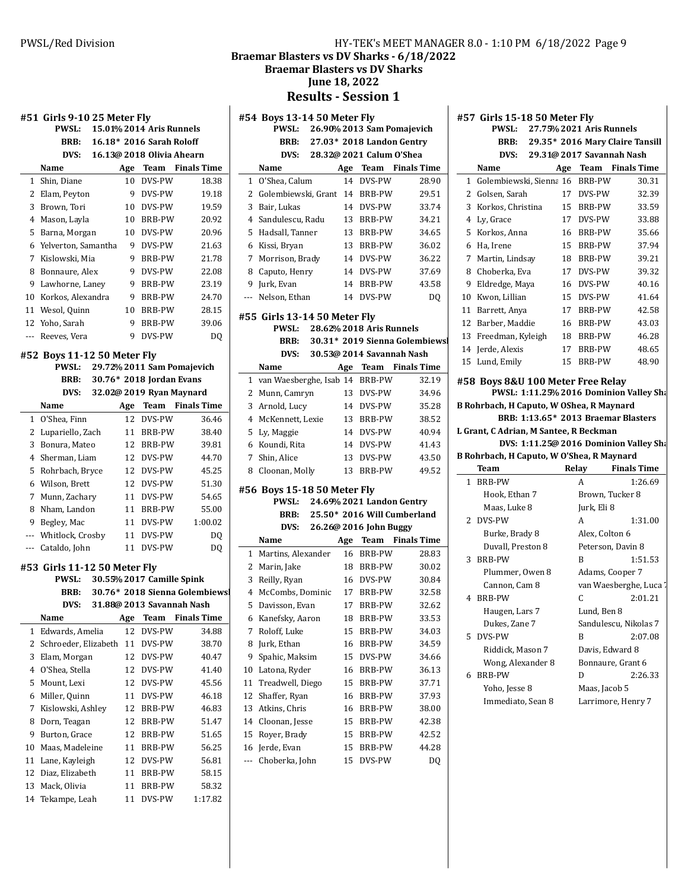Braemar Blasters vs DV Sharks - 6/18/2022

PWSL: 26.90% 2013 Sam Pomajevich

**Braemar Blasters vs DV Sharks** 

**June 18, 2022**

**Results - Session 1** 

|                          | #51  Girls 9-10 25 Meter Fly |     |                           |                                |          | #54 Boys 13-14 50 Meter Fly   |                 |     |            |
|--------------------------|------------------------------|-----|---------------------------|--------------------------------|----------|-------------------------------|-----------------|-----|------------|
|                          | <b>PWSL:</b>                 |     | 15.01% 2014 Aris Runnels  |                                |          | <b>PWSL:</b>                  | 26.90% 2013 Sa  |     |            |
|                          | BRB:                         |     | 16.18* 2016 Sarah Roloff  |                                |          | BRB:                          | 27.03* 2018 La  |     |            |
|                          | DVS:                         |     | 16.13@ 2018 Olivia Ahearn |                                |          | DVS:                          | 28.32@ 2021 Ca  |     |            |
|                          | Name                         | Age |                           | <b>Team</b> Finals Time        |          | Name                          |                 | Age | Teal       |
|                          | 1 Shin, Diane                |     | 10 DVS-PW                 | 18.38                          |          | 1 O'Shea, Calum               |                 | 14  | DVS-       |
|                          | 2 Elam, Peyton               |     | 9 DVS-PW                  | 19.18                          |          | 2 Golembiewski, Grant 14 BRB  |                 |     |            |
|                          | 3 Brown, Tori                |     | 10 DVS-PW                 | 19.59                          |          | 3 Bair, Lukas                 |                 |     | 14 DVS-    |
|                          | 4 Mason, Layla               |     | 10 BRB-PW                 | 20.92                          |          | 4 Sandulescu, Radu            |                 |     | 13 BRB     |
|                          | 5 Barna, Morgan              |     | 10 DVS-PW                 | 20.96                          |          | 5 Hadsall, Tanner             |                 |     | 13 BRB     |
|                          | 6 Yelverton, Samantha        |     | 9 DVS-PW                  | 21.63                          |          | 6 Kissi, Bryan                |                 |     | 13 BRB     |
|                          | 7 Kislowski, Mia             | 9   | BRB-PW                    | 21.78                          | 7        | Morrison, Brady               |                 |     | 14 DVS-    |
|                          | 8 Bonnaure, Alex             |     | 9 DVS-PW                  | 22.08                          | 8        | Caputo, Henry                 |                 | 14  | DVS-       |
|                          | 9 Lawhorne, Laney            |     | 9 BRB-PW                  | 23.19                          |          | 9 Jurk, Evan                  |                 | 14  | <b>BRB</b> |
|                          | 10 Korkos, Alexandra         |     | 9 BRB-PW                  | 24.70                          | $---$    | Nelson, Ethan                 |                 | 14  | DVS-       |
|                          | 11 Wesol, Quinn              | 10  | BRB-PW                    | 28.15                          |          | #55 Girls 13-14 50 Meter Fly  |                 |     |            |
|                          | 12 Yoho, Sarah               | 9   | BRB-PW                    | 39.06                          |          | <b>PWSL:</b>                  | 28.62% 2018 Ar  |     |            |
| $\overline{\phantom{a}}$ | Reeves, Vera                 | 9   | DVS-PW                    | DQ                             |          | BRB:                          | 30.31* 2019 Sie |     |            |
|                          | #52 Boys 11-12 50 Meter Fly  |     |                           |                                |          | DVS:                          | 30.53@ 2014 Say |     |            |
|                          | <b>PWSL:</b>                 |     |                           | 29.72% 2011 Sam Pomajevich     |          | Name                          |                 | Age | Tea        |
|                          | BRB:                         |     | 30.76* 2018 Jordan Evans  |                                |          | 1 van Waesberghe, Isab 14 BRB |                 |     |            |
|                          | DVS:                         |     | 32.02@ 2019 Ryan Maynard  |                                |          | 2 Munn, Camryn                |                 |     | 13 DVS-    |
|                          | Name                         | Age | Team                      | <b>Finals Time</b>             |          | 3 Arnold, Lucy                |                 |     | 14 DVS-    |
|                          | 1 O'Shea, Finn               |     | 12 DVS-PW                 | 36.46                          |          | 4 McKennett, Lexie            |                 | 13  | <b>BRB</b> |
|                          | 2 Lupariello, Zach           |     | 11 BRB-PW                 | 38.40                          | 5.       | Ly, Maggie                    |                 | 14  | DVS-       |
|                          | 3 Bonura, Mateo              | 12  | BRB-PW                    | 39.81                          |          | 6 Koundi, Rita                |                 | 14  | DVS-       |
|                          | 4 Sherman, Liam              |     | 12 DVS-PW                 | 44.70                          | 7        | Shin, Alice                   |                 | 13  | DVS-       |
|                          | 5 Rohrbach, Bryce            |     | 12 DVS-PW                 | 45.25                          | 8        | Cloonan, Molly                |                 | 13  | <b>BRB</b> |
|                          | 6 Wilson, Brett              |     | 12 DVS-PW                 | 51.30                          |          |                               |                 |     |            |
|                          | 7 Munn, Zachary              |     | 11 DVS-PW                 | 54.65                          |          | #56 Boys 15-18 50 Meter Fly   |                 |     |            |
|                          | 8 Nham, Landon               |     | 11 BRB-PW                 | 55.00                          |          | <b>PWSL:</b>                  | 24.69% 2021 La  |     |            |
|                          | 9 Begley, Mac                |     | 11 DVS-PW                 | 1:00.02                        |          | <b>BRB:</b>                   | 25.50* 2016 Wi  |     |            |
| ---                      | Whitlock, Crosby             | 11  | DVS-PW                    | DQ                             |          | DVS:                          | 26.26@ 2016 Jol |     |            |
|                          | --- Cataldo, John            |     | 11 DVS-PW                 | DQ                             |          | Name                          |                 | Age | Tea        |
|                          |                              |     |                           |                                |          | 1 Martins, Alexander          |                 | 16  | <b>BRB</b> |
|                          | #53 Girls 11-12 50 Meter Fly |     |                           |                                |          | 2 Marin, Jake                 |                 | 18  | <b>BRB</b> |
|                          | <b>PWSL:</b>                 |     | 30.55% 2017 Camille Spink |                                |          | 3 Reilly, Ryan                |                 | 16  | DVS-       |
|                          | BRB:                         |     |                           | 30.76* 2018 Sienna Golembiewsl |          | 4 McCombs, Dominic            |                 | 17  | <b>BRB</b> |
|                          | DVS:                         |     |                           | 31.88@ 2013 Savannah Nash      | 5        | Davisson, Evan                |                 | 17  | <b>BRB</b> |
|                          | Name                         | Age | Team                      | <b>Finals Time</b>             |          | 6 Kanefsky, Aaron             |                 | 18  | <b>BRB</b> |
|                          | 1 Edwards, Amelia            | 12  | DVS-PW                    | 34.88                          | 7        | Roloff, Luke                  |                 | 15  | <b>BRB</b> |
| 2                        | Schroeder, Elizabeth         | 11  | DVS-PW                    | 38.70                          | 8        | Jurk, Ethan                   |                 | 16  | <b>BRB</b> |
| 3                        | Elam, Morgan                 | 12  | DVS-PW                    | 40.47                          | 9        | Spahic, Maksim                |                 | 15  | DVS-       |
| 4                        | O'Shea, Stella               | 12  | DVS-PW                    | 41.40                          | 10       | Latona, Ryder                 |                 | 16  | <b>BRB</b> |
| 5                        | Mount, Lexi                  | 12  | DVS-PW                    | 45.56                          | 11       | Treadwell, Diego              |                 | 15  | <b>BRB</b> |
| 6                        | Miller, Quinn                | 11  | DVS-PW                    | 46.18                          |          | 12 Shaffer, Ryan              |                 | 16  | <b>BRB</b> |
| 7                        | Kislowski, Ashley            | 12  | BRB-PW                    | 46.83                          |          | 13 Atkins, Chris              |                 | 16  | <b>BRB</b> |
| 8                        | Dorn, Teagan                 | 12  | BRB-PW                    | 51.47                          |          | 14 Cloonan, Jesse             |                 | 15  | <b>BRB</b> |
| 9                        | Burton, Grace                | 12  | BRB-PW                    | 51.65                          |          | 15 Royer, Brady               |                 | 15  | <b>BRB</b> |
| 10                       | Maas, Madeleine              | 11  | BRB-PW                    | 56.25                          |          | 16 Jerde, Evan                |                 | 15  | <b>BRB</b> |
|                          | 11 Lane, Kayleigh            | 12  | DVS-PW                    | 56.81                          | $\cdots$ | Choberka, John                |                 | 15  | DVS-       |
| 12                       | Diaz, Elizabeth              | 11  | BRB-PW                    | 58.15                          |          |                               |                 |     |            |
|                          | 13 Mack, Olivia              | 11  | BRB-PW                    | 58.32                          |          |                               |                 |     |            |

14 Tekampe, Leah 11 DVS-PW 1:17.82

|             | BRB:                             |    |                             | 27.03* 2018 Landon Gentry        |
|-------------|----------------------------------|----|-----------------------------|----------------------------------|
|             | DVS:                             |    | 28.32@ 2021 Calum O'Shea    |                                  |
|             | Name                             |    |                             | Age Team Finals Time             |
| $\mathbf 1$ | O'Shea, Calum                    | 14 | DVS-PW                      | 28.90                            |
|             | 2 Golembiewski, Grant            |    | 14 BRB-PW                   | 29.51                            |
| 3           | Bair, Lukas                      | 14 | DVS-PW                      | 33.74                            |
| 4           | Sandulescu, Radu                 | 13 | BRB-PW                      | 34.21                            |
| 5           | Hadsall, Tanner                  | 13 | BRB-PW                      | 34.65                            |
| 6           | Kissi, Bryan                     | 13 | BRB-PW                      | 36.02                            |
| 7           | Morrison, Brady                  | 14 | DVS-PW                      | 36.22                            |
| 8           | Caputo, Henry                    | 14 | DVS-PW                      | 37.69                            |
| 9           | Jurk, Evan                       | 14 | BRB-PW                      | 43.58                            |
| ---         | Nelson. Ethan                    | 14 | DVS-PW                      | DQ                               |
|             |                                  |    |                             |                                  |
|             | #55 Girls 13-14 50 Meter Fly     |    |                             |                                  |
|             | PWSL: 28.62% 2018 Aris Runnels   |    |                             |                                  |
|             | <b>BRB:</b>                      |    |                             | 30.31* 2019 Sienna Golembiews    |
|             |                                  |    |                             | DVS: 30.53@ 2014 Savannah Nash   |
|             | Name                             |    |                             | Age Team Finals Time             |
|             | 1 van Waesberghe, Isab 14 BRB-PW |    |                             | 32.19                            |
| 2           | Munn, Camryn                     | 13 | DVS-PW                      | 34.96                            |
| 3           | Arnold, Lucy                     | 14 | DVS-PW                      | 35.28                            |
|             | 4 McKennett, Lexie               | 13 | BRB-PW                      | 38.52                            |
|             | 5 Ly, Maggie                     | 14 | DVS-PW                      | 40.94                            |
|             | 6 Koundi, Rita                   | 14 | DVS-PW                      | 41.43                            |
|             | 7 Shin, Alice                    | 13 | DVS-PW                      | 43.50                            |
| 8           | Cloonan, Molly                   | 13 | BRB-PW                      | 49.52                            |
|             | #56 Boys 15-18 50 Meter Fly      |    |                             |                                  |
|             | PWSL:                            |    |                             | 24.69% 2021 Landon Gentry        |
|             |                                  |    |                             | BRB: 25.50* 2016 Will Cumberland |
|             |                                  |    | DVS: 26.26@ 2016 John Buggy |                                  |
|             | Name                             |    |                             | Age Team Finals Time             |
| 1           | Martins, Alexander               | 16 | BRB-PW                      | 28.83                            |
| 2           | Marin, Jake                      | 18 | BRB-PW                      | 30.02                            |
| 3           | Reilly, Ryan                     | 16 | DVS-PW                      | 30.84                            |
|             | 4 McCombs, Dominic               | 17 | BRB-PW                      | 32.58                            |
| 5           | Davisson, Evan                   | 17 | BRB-PW                      | 32.62                            |
| 6           | Kanefsky, Aaron                  | 18 | BRB-PW                      | 33.53                            |
| 7           | Roloff, Luke                     | 15 | <b>BRB-PW</b>               | 34.03                            |
| 8           | Jurk, Ethan                      | 16 | BRB-PW                      | 34.59                            |
| 9           | Spahic, Maksim                   | 15 | DVS-PW                      | 34.66                            |
| 10          | Latona, Ryder                    | 16 | BRB-PW                      | 36.13                            |
| 11          | Treadwell, Diego                 | 15 | BRB-PW                      | 37.71                            |
| 12          | Shaffer, Ryan                    | 16 | BRB-PW                      | 37.93                            |
| 13          | Atkins, Chris                    | 16 | BRB-PW                      | 38.00                            |
| 14          | Cloonan, Jesse                   | 15 | BRB-PW                      | 42.38                            |
| 15          | Royer, Brady                     | 15 | BRB-PW                      | 42.52                            |
| 16          | Jerde, Evan                      | 15 | BRB-PW                      | 44.28                            |
| ---         | Choberka, John                   | 15 | DVS-PW                      | DQ                               |
|             |                                  |    |                             |                                  |

**#57 Girls 15-18 50 Meter Fly PWSL:** 27.75% 2021 Aris Runnels **BRB:** 29.35\* 2016 Mary Claire Tansill **DVS:** 29.31@ 2017 Savannah Nash **Name Age** Team Finals Time

| 2.                                                                           |                                           |                 |           |                    |  |  |
|------------------------------------------------------------------------------|-------------------------------------------|-----------------|-----------|--------------------|--|--|
|                                                                              | Golsen, Sarah                             | 17              | DVS-PW    | 32.39              |  |  |
|                                                                              | 3 Korkos, Christina                       |                 | 15 BRB-PW | 33.59              |  |  |
| 4                                                                            | Ly, Grace                                 |                 | 17 DVS-PW | 33.88              |  |  |
|                                                                              | 5 Korkos, Anna                            |                 | 16 BRB-PW | 35.66              |  |  |
| 6                                                                            | Ha, Irene                                 |                 | 15 BRB-PW | 37.94              |  |  |
| 7                                                                            | Martin, Lindsay                           | 18              | BRB-PW    | 39.21              |  |  |
|                                                                              | 8 Choberka, Eva                           |                 | 17 DVS-PW | 39.32              |  |  |
| 9                                                                            | Eldredge, Maya                            |                 | 16 DVS-PW | 40.16              |  |  |
|                                                                              | 10 Kwon, Lillian                          |                 | 15 DVS-PW | 41.64              |  |  |
|                                                                              | 11 Barrett, Anya                          |                 | 17 BRB-PW | 42.58              |  |  |
|                                                                              | 12 Barber, Maddie                         |                 | 16 BRB-PW | 43.03              |  |  |
|                                                                              | 13 Freedman, Kyleigh                      | 18              | BRB-PW    | 46.28              |  |  |
|                                                                              | 14 Jerde, Alexis                          | 17              | BRB-PW    | 48.65              |  |  |
|                                                                              | 15 Lund, Emily                            | 15 <sup>2</sup> | BRB-PW    | 48.90              |  |  |
| #58 Boys 8&U 100 Meter Free Relay<br>PWSL: 1:11.25% 2016 Dominion Valley Sha |                                           |                 |           |                    |  |  |
|                                                                              | B Rohrbach, H Caputo, W OShea, R Maynard  |                 |           |                    |  |  |
|                                                                              | BRB: 1:13.65* 2013 Braemar Blasters       |                 |           |                    |  |  |
|                                                                              | L Grant, C Adrian, M Santee, R Beckman    |                 |           |                    |  |  |
|                                                                              | DVS: 1:11.25@ 2016 Dominion Valley Sha    |                 |           |                    |  |  |
|                                                                              | B Rohrbach, H Caputo, W O'Shea, R Maynard |                 |           |                    |  |  |
|                                                                              | Team                                      |                 | Relay     | <b>Finals Time</b> |  |  |

|   | теанн             | reiav          | гшать гипе              |
|---|-------------------|----------------|-------------------------|
| 1 | <b>BRB-PW</b>     | A              | 1:26.69                 |
|   | Hook, Ethan 7     |                | Brown, Tucker 8         |
|   | Maas, Luke 8      | Jurk, Eli 8    |                         |
|   | 2 DVS-PW          | A              | 1:31.00                 |
|   | Burke, Brady 8    | Alex, Colton 6 |                         |
|   | Duvall, Preston 8 |                | Peterson, Davin 8       |
| 3 | BRB-PW            | R              | 1:51.53                 |
|   | Plummer, Owen 8   |                | Adams, Cooper 7         |
|   | Cannon, Cam 8     |                | van Waesberghe, Luca ". |
| 4 | BRB-PW            | C              | 2:01.21                 |
|   | Haugen, Lars 7    | Lund, Ben 8    |                         |
|   | Dukes, Zane 7     |                | Sandulescu, Nikolas 7   |
|   | 5 DVS-PW          | R              | 2:07.08                 |
|   | Riddick, Mason 7  |                | Davis, Edward 8         |
|   | Wong, Alexander 8 |                | Bonnaure, Grant 6       |
| 6 | BRB-PW            | D              | 2:26.33                 |
|   | Yoho, Jesse 8     | Maas, Jacob 5  |                         |
|   | Immediato, Sean 8 |                | Larrimore, Henry 7      |
|   |                   |                |                         |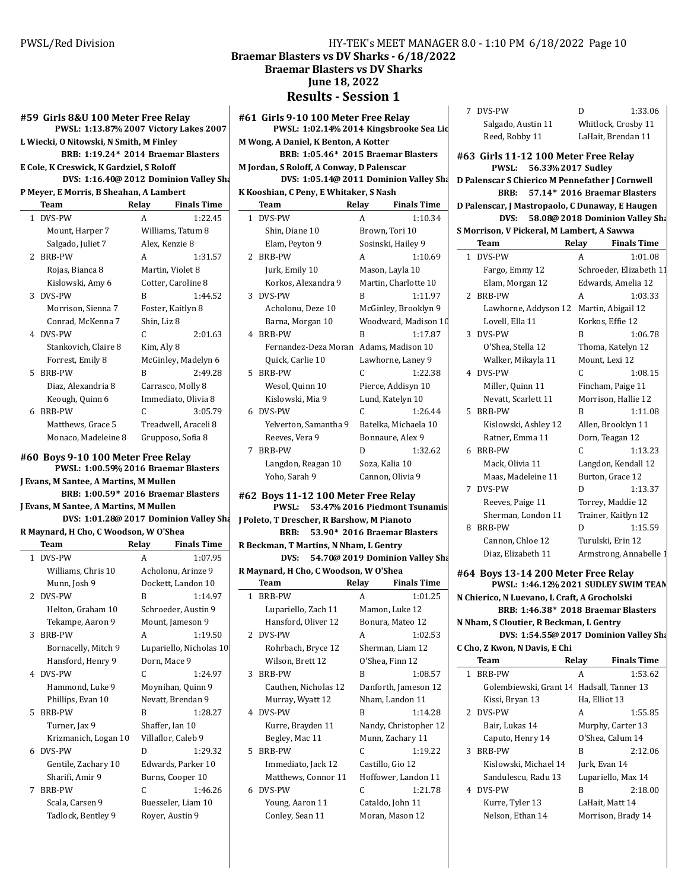#### **#59 Girls 8&U 100 Meter Free Relay PWSL: 1:13.87 2007 % Victory Lakes 2007**

**L Wiecki, O Nitowski, N Smith, M Finley BRB: 1:19.24\* 2014 Braemar Blasters** 

**E** Cole, K Creswick, K Gardziel, S Roloff

```
DVS: 1:16.40@ 2012 Dominion Valley Sharks
```
P Meyer, E Morris, B Sheahan, A Lambert **Team** Relay Finals Time

|    | теаш                 | REIAY          | гшаіз і шіс          |
|----|----------------------|----------------|----------------------|
|    | 1 DVS-PW             | A              | 1:22.45              |
|    | Mount, Harper 7      |                | Williams, Tatum 8    |
|    | Salgado, Juliet 7    | Alex, Kenzie 8 |                      |
| 2. | <b>BRB-PW</b>        | A              | 1:31.57              |
|    | Rojas, Bianca 8      |                | Martin, Violet 8     |
|    | Kislowski, Amy 6     |                | Cotter, Caroline 8   |
|    | 3 DVS-PW             | R              | 1:44.52              |
|    | Morrison, Sienna 7   |                | Foster, Kaitlyn 8    |
|    | Conrad, McKenna 7    | Shin, Liz 8    |                      |
|    | 4 DVS-PW             | C              | 2:01.63              |
|    | Stankovich, Claire 8 | Kim, Aly 8     |                      |
|    | Forrest, Emily 8     |                | McGinley, Madelyn 6  |
| 5. | BRB-PW               | R              | 2:49.28              |
|    | Diaz, Alexandria 8   |                | Carrasco, Molly 8    |
|    | Keough, Quinn 6      |                | Immediato, Olivia 8  |
| 6  | BRB-PW               | C              | 3:05.79              |
|    | Matthews, Grace 5    |                | Treadwell, Araceli 8 |
|    | Monaco, Madeleine 8  |                | Grupposo, Sofia 8    |
|    |                      |                |                      |

**#60 Boys 9-10 100 Meter Free Relay**

**PWSL: 1:00.59% 2016 Braemar Blasters** 

**J Evans, M Santee, A Martins, M Mullen** 

```
BRB: 1:00.59* 2016 Braemar Blasters
J Evans, M Santee, A Martins, M Mullen
```
**DVS: 1:01.28@ 2017 Dominion Valley Sharks** 

**R Maynard, H Cho, C Woodson, W O'Shea**

|              | Team                 | Relay | <b>Finals Time</b>      |
|--------------|----------------------|-------|-------------------------|
| $\mathbf{1}$ | DVS-PW               | A     | 1:07.95                 |
|              | Williams, Chris 10   |       | Acholonu, Arinze 9      |
|              | Munn, Josh 9         |       | Dockett, Landon 10      |
|              | 2 DVS-PW             | R     | 1:14.97                 |
|              | Helton, Graham 10    |       | Schroeder, Austin 9     |
|              | Tekampe, Aaron 9     |       | Mount, Jameson 9        |
| 3            | BRB-PW               | A     | 1:19.50                 |
|              | Bornacelly, Mitch 9  |       | Lupariello, Nicholas 10 |
|              | Hansford, Henry 9    |       | Dorn, Mace 9            |
|              | 4 DVS-PW             | C     | 1:24.97                 |
|              | Hammond, Luke 9      |       | Moynihan, Quinn 9       |
|              | Phillips, Evan 10    |       | Nevatt, Brendan 9       |
| 5.           | <b>BRB-PW</b>        | R     | 1:28.27                 |
|              | Turner, Jax 9        |       | Shaffer, Ian 10         |
|              | Krizmanich, Logan 10 |       | Villaflor, Caleb 9      |
|              | 6 DVS-PW             | D     | 1:29.32                 |
|              | Gentile, Zachary 10  |       | Edwards, Parker 10      |
|              | Sharifi, Amir 9      |       | Burns, Cooper 10        |
| 7            | <b>BRB-PW</b>        | C     | 1:46.26                 |
|              | Scala, Carsen 9      |       | Buesseler, Liam 10      |
|              | Tadlock, Bentley 9   |       | Royer, Austin 9         |
|              |                      |       |                         |

```
Braemar Blasters vs DV Sharks - 6/18/2022
      Braemar Blasters vs DV Sharks
             June 18, 2022
          Results - Session 1
```
**#61 Girls 9-10 100 Meter Free Relay** PWSL: 1:02.14% 2014 Kingsbrooke Sea Lio **M** Wong, A Daniel, K Benton, A Kotter **BRB: 1:05.46\* 2015 Braemar Blasters** 

**M** Jordan, S Roloff, A Conway, D Palenscar **DVS: 1:05.14@ 2011 Dominion Valley Sharks** 

**K** Kooshian, C Peny, E Whitaker, S Nash

|              | Team                  | Relay | <b>Finals Time</b>   |
|--------------|-----------------------|-------|----------------------|
| $\mathbf{1}$ | DVS-PW                | А     | 1:10.34              |
|              | Shin, Diane 10        |       | Brown, Tori 10       |
|              | Elam, Peyton 9        |       | Sosinski, Hailey 9   |
|              | 2 BRB-PW              | A     | 1:10.69              |
|              | Jurk, Emily 10        |       | Mason, Layla 10      |
|              | Korkos, Alexandra 9   |       | Martin, Charlotte 10 |
|              | 3 DVS-PW              | B     | 1:11.97              |
|              | Acholonu, Deze 10     |       | McGinley, Brooklyn 9 |
|              | Barna, Morgan 10      |       | Woodward, Madison 10 |
|              | 4 BRB-PW              | B     | 1:17.87              |
|              | Fernandez-Deza Moran  |       | Adams, Madison 10    |
|              | Quick, Carlie 10      |       | Lawhorne, Laney 9    |
|              | 5 BRB-PW              | C     | 1:22.38              |
|              | Wesol, Quinn 10       |       | Pierce, Addisyn 10   |
|              | Kislowski, Mia 9      |       | Lund, Katelyn 10     |
|              | 6 DVS-PW              | C     | 1:26.44              |
|              | Yelverton, Samantha 9 |       | Batelka, Michaela 10 |
|              | Reeves, Vera 9        |       | Bonnaure, Alex 9     |
| 7            | <b>BRB-PW</b>         | D     | 1:32.62              |
|              | Langdon, Reagan 10    |       | Soza, Kalia 10       |
|              | Yoho, Sarah 9         |       | Cannon, Olivia 9     |

**#62 Boys 11-12 100 Meter Free Relay PWSL:** 53.47% 2016 Piedmont Tsunamis **J** Poleto, T Drescher, R Barshow, M Pianoto **BRB:** 53.90\* 2016 Braemar Blasters **R Beckman, T Martins, N Nham, L Gentry**

**DVS:** 54.70@ 2019 Dominion Valley Sha **R Maynard, H Cho, C Woodson, W O'Shea**

|    | Team                 | Relay | <b>Finals Time</b>    |
|----|----------------------|-------|-----------------------|
|    | 1 BRB-PW             | A     | 1:01.25               |
|    | Lupariello, Zach 11  |       | Mamon, Luke 12        |
|    | Hansford, Oliver 12  |       | Bonura, Mateo 12      |
|    | 2 DVS-PW             | A     | 1:02.53               |
|    | Rohrbach, Bryce 12   |       | Sherman, Liam 12      |
|    | Wilson, Brett 12     |       | O'Shea, Finn 12       |
| 3  | BRB-PW               | R     | 1:08.57               |
|    | Cauthen, Nicholas 12 |       | Danforth, Jameson 12  |
|    | Murray, Wyatt 12     |       | Nham, Landon 11       |
|    | 4 DVS-PW             | R     | 1:14.28               |
|    | Kurre, Brayden 11    |       | Nandy, Christopher 12 |
|    | Begley, Mac 11       |       | Munn, Zachary 11      |
| 5. | <b>BRB-PW</b>        | C     | 1:19.22               |
|    | Immediato, Jack 12   |       | Castillo, Gio 12      |
|    | Matthews, Connor 11  |       | Hoffower, Landon 11   |
|    | 6 DVS-PW             | C     | 1:21.78               |
|    | Young, Aaron 11      |       | Cataldo, John 11      |
|    | Conley, Sean 11      |       | Moran, Mason 12       |

| 7 DVS-PW           | D | 1:33.0              |
|--------------------|---|---------------------|
| Salgado, Austin 11 |   | Whitlock, Crosby 11 |
| Reed, Robby 11     |   | LaHait, Brendan 11  |

**#63 Girls 11-12 100 Meter Free Relay PWSL: 56.33 2017 % Sudley D** Palenscar S Chierico M Pennefather J Cornwell

1:33.06

**BRB:** 57.14\* 2016 Braemar Blasters

**D Palenscar, J Mastropaolo, C Dunaway, E Haugen DVS:** 58.08@ 2018 Dominion Valley Sha

**S Morrison, V Pickeral, M Lambert, A Sawwa**

| Team                   | Relay | <b>Finals Time</b>      |
|------------------------|-------|-------------------------|
| DVS-PW<br>$\mathbf{1}$ | A     | 1:01.08                 |
| Fargo, Emmy 12         |       | Schroeder, Elizabeth 11 |
| Elam, Morgan 12        |       | Edwards, Amelia 12      |
| 2 BRB-PW               | A     | 1:03.33                 |
| Lawhorne, Addyson 12   |       | Martin, Abigail 12      |
| Lovell, Ella 11        |       | Korkos, Effie 12        |
| 3 DVS-PW               | R     | 1:06.78                 |
| O'Shea, Stella 12      |       | Thoma, Katelyn 12       |
| Walker, Mikayla 11     |       | Mount, Lexi 12          |
| 4 DVS-PW               | C     | 1:08.15                 |
| Miller, Quinn 11       |       | Fincham, Paige 11       |
| Nevatt, Scarlett 11    |       | Morrison, Hallie 12     |
| 5 BRB-PW               | B     | 1:11.08                 |
| Kislowski, Ashley 12   |       | Allen, Brooklyn 11      |
| Ratner, Emma 11        |       | Dorn, Teagan 12         |
| 6 BRB-PW               | C     | 1:13.23                 |
| Mack, Olivia 11        |       | Langdon, Kendall 12     |
| Maas, Madeleine 11     |       | Burton, Grace 12        |
| DVS-PW<br>7            | D     | 1:13.37                 |
| Reeves, Paige 11       |       | Torrey, Maddie 12       |
| Sherman, London 11     |       | Trainer, Kaitlyn 12     |
| BRB-PW<br>8            | D     | 1:15.59                 |
| Cannon, Chloe 12       |       | Turulski, Erin 12       |
| Diaz, Elizabeth 11     |       | Armstrong, Annabelle 1  |

**#64 Boys 13-14 200 Meter Free Relay PWSL: 1:46.12 2021 % SUDLEY SWIM TEAM N Chierico, N Luevano, L Craft, A Grocholski BRB: 1:46.38\* 2018 Braemar Blasters N Nham, S Cloutier, R Beckman, L Gentry DVS: 1:54.55@ 2017 Dominion Valley Sharks C Cho, Z Kwon, N Davis, E Chi Team** Relay Finals Time 1 BRB-PW A 1:53.62 Golembiewski, Grant 14 Hadsall, Tanner 13 Kissi, Bryan 13 Ha, Elliot 13 2 DVS-PW A 1:55.85 Bair, Lukas 14 Murphy, Carter 13 Caputo, Henry 14 O'Shea, Calum 14 3 BRB-PW B 2:12.06 Kislowski, Michael 14 Jurk, Evan 14

| NISIOWSKI, MICHAEL 14 | jurk, Evall 14     |  |
|-----------------------|--------------------|--|
| Sandulescu, Radu 13   | Lupariello, Max 14 |  |
| 4 DVS-PW              | 2:18.00<br>B       |  |
| Kurre, Tyler 13       | LaHait, Matt 14    |  |
| Nelson, Ethan 14      | Morrison, Brady 14 |  |
|                       |                    |  |

PWSL/Red Division HY-TEK's MEET MANAGER 8.0 - 1:10 PM 6/18/2022 Page 10